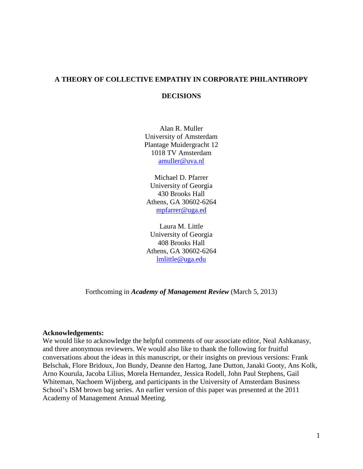# **A THEORY OF COLLECTIVE EMPATHY IN CORPORATE PHILANTHROPY**

## **DECISIONS**

Alan R. Muller University of Amsterdam Plantage Muidergracht 12 1018 TV Amsterdam [amuller@uva.nl](mailto:amuller@uva.nl)

Michael D. Pfarrer University of Georgia 430 Brooks Hall Athens, GA 30602-6264 [mpfarrer@uga.ed](mailto:mpfarrer@uga.ed)

Laura M. Little University of Georgia 408 Brooks Hall Athens, GA 30602-6264 [lmlittle@uga.edu](mailto:lmlittle@uga.edu)

Forthcoming in *Academy of Management Review* (March 5, 2013)

#### **Acknowledgements:**

We would like to acknowledge the helpful comments of our associate editor, Neal Ashkanasy, and three anonymous reviewers. We would also like to thank the following for fruitful conversations about the ideas in this manuscript, or their insights on previous versions: Frank Belschak, Flore Bridoux, Jon Bundy, Deanne den Hartog, Jane Dutton, Janaki Gooty, Ans Kolk, Arno Kourula, Jacoba Lilius, Morela Hernandez, Jessica Rodell, John Paul Stephens, Gail Whiteman, Nachoem Wijnberg, and participants in the University of Amsterdam Business School's ISM brown bag series. An earlier version of this paper was presented at the 2011 Academy of Management Annual Meeting.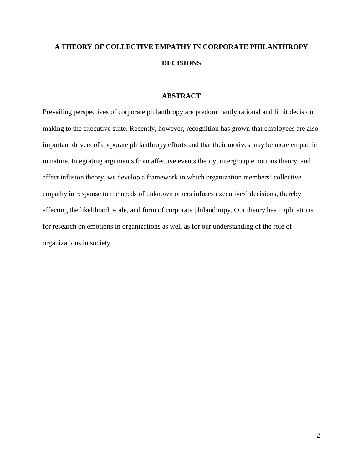# **A THEORY OF COLLECTIVE EMPATHY IN CORPORATE PHILANTHROPY DECISIONS**

## **ABSTRACT**

Prevailing perspectives of corporate philanthropy are predominantly rational and limit decision making to the executive suite. Recently, however, recognition has grown that employees are also important drivers of corporate philanthropy efforts and that their motives may be more empathic in nature. Integrating arguments from affective events theory, intergroup emotions theory, and affect infusion theory, we develop a framework in which organization members' collective empathy in response to the needs of unknown others infuses executives' decisions, thereby affecting the likelihood, scale, and form of corporate philanthropy. Our theory has implications for research on emotions in organizations as well as for our understanding of the role of organizations in society.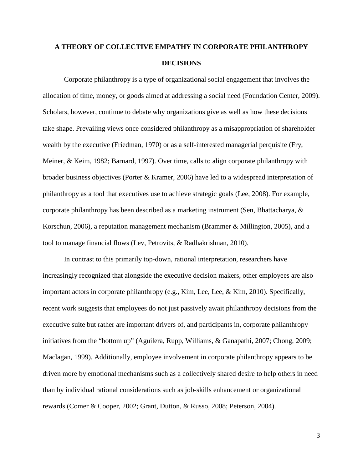# **A THEORY OF COLLECTIVE EMPATHY IN CORPORATE PHILANTHROPY DECISIONS**

Corporate philanthropy is a type of organizational social engagement that involves the allocation of time, money, or goods aimed at addressing a social need (Foundation Center, 2009). Scholars, however, continue to debate why organizations give as well as how these decisions take shape. Prevailing views once considered philanthropy as a misappropriation of shareholder wealth by the executive (Friedman, 1970) or as a self-interested managerial perquisite (Fry, Meiner, & Keim, 1982; Barnard, 1997). Over time, calls to align corporate philanthropy with broader business objectives (Porter & Kramer, 2006) have led to a widespread interpretation of philanthropy as a tool that executives use to achieve strategic goals (Lee, 2008). For example, corporate philanthropy has been described as a marketing instrument (Sen, Bhattacharya, & Korschun, 2006), a reputation management mechanism (Brammer & Millington, 2005), and a tool to manage financial flows (Lev, Petrovits, & Radhakrishnan, 2010).

In contrast to this primarily top-down, rational interpretation, researchers have increasingly recognized that alongside the executive decision makers, other employees are also important actors in corporate philanthropy (e.g., Kim, Lee, Lee, & Kim, 2010). Specifically, recent work suggests that employees do not just passively await philanthropy decisions from the executive suite but rather are important drivers of, and participants in, corporate philanthropy initiatives from the "bottom up" (Aguilera, Rupp, Williams, & Ganapathi, 2007; Chong, 2009; Maclagan, 1999). Additionally, employee involvement in corporate philanthropy appears to be driven more by emotional mechanisms such as a collectively shared desire to help others in need than by individual rational considerations such as job-skills enhancement or organizational rewards (Comer & Cooper, 2002; Grant, Dutton, & Russo, 2008; Peterson, 2004).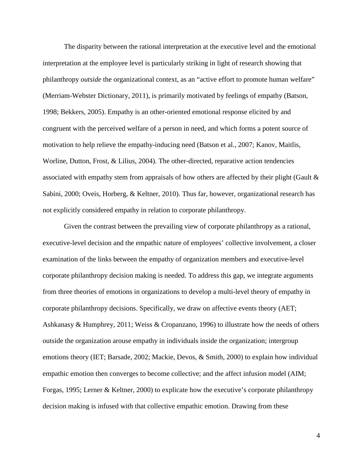The disparity between the rational interpretation at the executive level and the emotional interpretation at the employee level is particularly striking in light of research showing that philanthropy *outside* the organizational context, as an "active effort to promote human welfare" (Merriam-Webster Dictionary, 2011), is primarily motivated by feelings of empathy (Batson, 1998; Bekkers, 2005). Empathy is an other-oriented emotional response elicited by and congruent with the perceived welfare of a person in need, and which forms a potent source of motivation to help relieve the empathy-inducing need (Batson et al., 2007; Kanov, Maitlis, Worline, Dutton, Frost, & Lilius, 2004). The other-directed, reparative action tendencies associated with empathy stem from appraisals of how others are affected by their plight (Gault & Sabini, 2000; Oveis, Horberg, & Keltner, 2010). Thus far, however, organizational research has not explicitly considered empathy in relation to corporate philanthropy.

Given the contrast between the prevailing view of corporate philanthropy as a rational, executive-level decision and the empathic nature of employees' collective involvement, a closer examination of the links between the empathy of organization members and executive-level corporate philanthropy decision making is needed. To address this gap, we integrate arguments from three theories of emotions in organizations to develop a multi-level theory of empathy in corporate philanthropy decisions. Specifically, we draw on affective events theory (AET; Ashkanasy & Humphrey, 2011; Weiss & Cropanzano, 1996) to illustrate how the needs of others outside the organization arouse empathy in individuals inside the organization; intergroup emotions theory (IET; Barsade, 2002; Mackie, Devos, & Smith, 2000) to explain how individual empathic emotion then converges to become collective; and the affect infusion model (AIM; Forgas, 1995; Lerner & Keltner, 2000) to explicate how the executive's corporate philanthropy decision making is infused with that collective empathic emotion. Drawing from these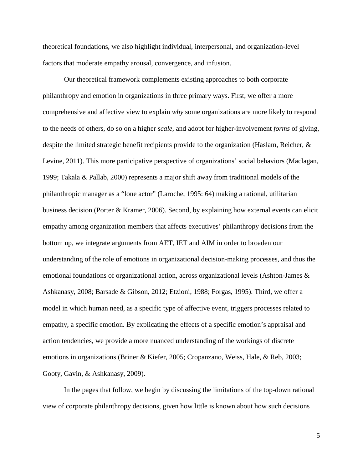theoretical foundations, we also highlight individual, interpersonal, and organization-level factors that moderate empathy arousal, convergence, and infusion.

Our theoretical framework complements existing approaches to both corporate philanthropy and emotion in organizations in three primary ways. First, we offer a more comprehensive and affective view to explain *why* some organizations are more likely to respond to the needs of others, do so on a higher *scale*, and adopt for higher-involvement *forms* of giving, despite the limited strategic benefit recipients provide to the organization (Haslam, Reicher, & Levine, 2011). This more participative perspective of organizations' social behaviors (Maclagan, 1999; Takala & Pallab, 2000) represents a major shift away from traditional models of the philanthropic manager as a "lone actor" (Laroche, 1995: 64) making a rational, utilitarian business decision (Porter & Kramer, 2006). Second, by explaining how external events can elicit empathy among organization members that affects executives' philanthropy decisions from the bottom up, we integrate arguments from AET, IET and AIM in order to broaden our understanding of the role of emotions in organizational decision-making processes, and thus the emotional foundations of organizational action, across organizational levels (Ashton-James & Ashkanasy, 2008; Barsade & Gibson, 2012; Etzioni, 1988; Forgas, 1995). Third, we offer a model in which human need, as a specific type of affective event, triggers processes related to empathy, a specific emotion. By explicating the effects of a specific emotion's appraisal and action tendencies, we provide a more nuanced understanding of the workings of discrete emotions in organizations (Briner & Kiefer, 2005; Cropanzano, Weiss, Hale, & Reb, 2003; Gooty, Gavin, & Ashkanasy, 2009).

In the pages that follow, we begin by discussing the limitations of the top-down rational view of corporate philanthropy decisions, given how little is known about how such decisions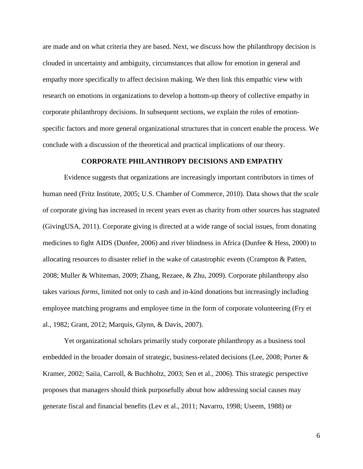are made and on what criteria they are based. Next, we discuss how the philanthropy decision is clouded in uncertainty and ambiguity, circumstances that allow for emotion in general and empathy more specifically to affect decision making. We then link this empathic view with research on emotions in organizations to develop a bottom-up theory of collective empathy in corporate philanthropy decisions. In subsequent sections, we explain the roles of emotionspecific factors and more general organizational structures that in concert enable the process. We conclude with a discussion of the theoretical and practical implications of our theory.

#### **CORPORATE PHILANTHROPY DECISIONS AND EMPATHY**

Evidence suggests that organizations are increasingly important contributors in times of human need (Fritz Institute, 2005; U.S. Chamber of Commerce, 2010). Data shows that the *scale* of corporate giving has increased in recent years even as charity from other sources has stagnated (GivingUSA, 2011). Corporate giving is directed at a wide range of social issues, from donating medicines to fight AIDS (Dunfee, 2006) and river blindness in Africa (Dunfee & Hess, 2000) to allocating resources to disaster relief in the wake of catastrophic events (Crampton & Patten, 2008; Muller & Whiteman, 2009; Zhang, Rezaee, & Zhu, 2009). Corporate philanthropy also takes various *forms*, limited not only to cash and in-kind donations but increasingly including employee matching programs and employee time in the form of corporate volunteering (Fry et al., 1982; Grant, 2012; Marquis, Glynn, & Davis, 2007).

Yet organizational scholars primarily study corporate philanthropy as a business tool embedded in the broader domain of strategic, business-related decisions (Lee, 2008; Porter & Kramer, 2002; Saiia, Carroll, & Buchholtz, 2003; Sen et al., 2006). This strategic perspective proposes that managers should think purposefully about how addressing social causes may generate fiscal and financial benefits (Lev et al., 2011; Navarro, 1998; Useem, 1988) or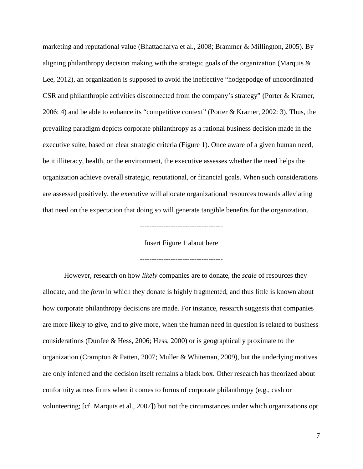marketing and reputational value (Bhattacharya et al., 2008; Brammer & Millington, 2005). By aligning philanthropy decision making with the strategic goals of the organization (Marquis  $\&$ Lee, 2012), an organization is supposed to avoid the ineffective "hodgepodge of uncoordinated CSR and philanthropic activities disconnected from the company's strategy" (Porter & Kramer, 2006: 4) and be able to enhance its "competitive context" (Porter & Kramer, 2002: 3). Thus, the prevailing paradigm depicts corporate philanthropy as a rational business decision made in the executive suite, based on clear strategic criteria (Figure 1). Once aware of a given human need, be it illiteracy, health, or the environment, the executive assesses whether the need helps the organization achieve overall strategic, reputational, or financial goals. When such considerations are assessed positively, the executive will allocate organizational resources towards alleviating that need on the expectation that doing so will generate tangible benefits for the organization.

-----------------------------------

Insert Figure 1 about here

-----------------------------------

However, research on how *likely* companies are to donate, the *scale* of resources they allocate, and the *form* in which they donate is highly fragmented, and thus little is known about how corporate philanthropy decisions are made. For instance, research suggests that companies are more likely to give, and to give more, when the human need in question is related to business considerations (Dunfee & Hess, 2006; Hess, 2000) or is geographically proximate to the organization (Crampton & Patten, 2007; Muller & Whiteman, 2009), but the underlying motives are only inferred and the decision itself remains a black box. Other research has theorized about conformity across firms when it comes to forms of corporate philanthropy (e.g., cash or volunteering; [cf. Marquis et al., 2007]) but not the circumstances under which organizations opt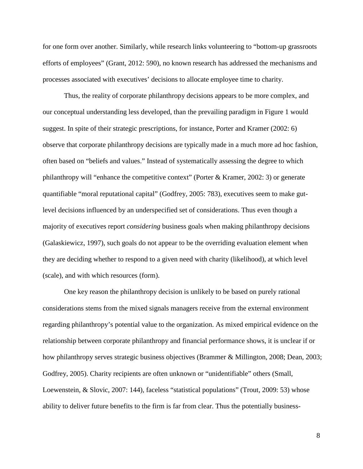for one form over another. Similarly, while research links volunteering to "bottom-up grassroots efforts of employees" (Grant, 2012: 590), no known research has addressed the mechanisms and processes associated with executives' decisions to allocate employee time to charity.

Thus, the reality of corporate philanthropy decisions appears to be more complex, and our conceptual understanding less developed, than the prevailing paradigm in Figure 1 would suggest. In spite of their strategic prescriptions, for instance, Porter and Kramer (2002: 6) observe that corporate philanthropy decisions are typically made in a much more ad hoc fashion, often based on "beliefs and values." Instead of systematically assessing the degree to which philanthropy will "enhance the competitive context" (Porter & Kramer, 2002: 3) or generate quantifiable "moral reputational capital" (Godfrey, 2005: 783), executives seem to make gutlevel decisions influenced by an underspecified set of considerations. Thus even though a majority of executives report *considering* business goals when making philanthropy decisions (Galaskiewicz, 1997), such goals do not appear to be the overriding evaluation element when they are deciding whether to respond to a given need with charity (likelihood), at which level (scale), and with which resources (form).

One key reason the philanthropy decision is unlikely to be based on purely rational considerations stems from the mixed signals managers receive from the external environment regarding philanthropy's potential value to the organization. As mixed empirical evidence on the relationship between corporate philanthropy and financial performance shows, it is unclear if or how philanthropy serves strategic business objectives (Brammer & Millington, 2008; Dean, 2003; Godfrey, 2005). Charity recipients are often unknown or "unidentifiable" others (Small, Loewenstein, & Slovic, 2007: 144), faceless "statistical populations" (Trout, 2009: 53) whose ability to deliver future benefits to the firm is far from clear. Thus the potentially business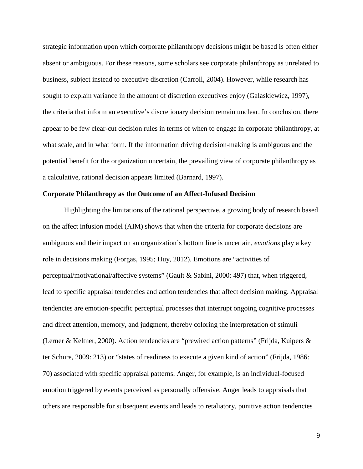strategic information upon which corporate philanthropy decisions might be based is often either absent or ambiguous. For these reasons, some scholars see corporate philanthropy as unrelated to business, subject instead to executive discretion (Carroll, 2004). However, while research has sought to explain variance in the amount of discretion executives enjoy (Galaskiewicz, 1997), the criteria that inform an executive's discretionary decision remain unclear. In conclusion, there appear to be few clear-cut decision rules in terms of when to engage in corporate philanthropy, at what scale, and in what form. If the information driving decision-making is ambiguous and the potential benefit for the organization uncertain, the prevailing view of corporate philanthropy as a calculative, rational decision appears limited (Barnard, 1997).

#### **Corporate Philanthropy as the Outcome of an Affect-Infused Decision**

Highlighting the limitations of the rational perspective, a growing body of research based on the affect infusion model (AIM) shows that when the criteria for corporate decisions are ambiguous and their impact on an organization's bottom line is uncertain, *emotions* play a key role in decisions making (Forgas, 1995; Huy, 2012). Emotions are "activities of perceptual/motivational/affective systems" (Gault & Sabini, 2000: 497) that, when triggered, lead to specific appraisal tendencies and action tendencies that affect decision making. Appraisal tendencies are emotion-specific perceptual processes that interrupt ongoing cognitive processes and direct attention, memory, and judgment, thereby coloring the interpretation of stimuli (Lerner & Keltner, 2000). Action tendencies are "prewired action patterns" (Frijda, Kuipers & ter Schure, 2009: 213) or "states of readiness to execute a given kind of action" (Frijda, 1986: 70) associated with specific appraisal patterns. Anger, for example, is an individual-focused emotion triggered by events perceived as personally offensive. Anger leads to appraisals that others are responsible for subsequent events and leads to retaliatory, punitive action tendencies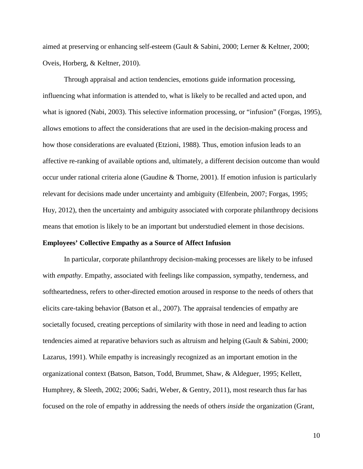aimed at preserving or enhancing self-esteem (Gault & Sabini, 2000; Lerner & Keltner, 2000; Oveis, Horberg, & Keltner, 2010).

Through appraisal and action tendencies, emotions guide information processing, influencing what information is attended to, what is likely to be recalled and acted upon, and what is ignored (Nabi, 2003). This selective information processing, or "infusion" (Forgas, 1995), allows emotions to affect the considerations that are used in the decision-making process and how those considerations are evaluated (Etzioni, 1988). Thus, emotion infusion leads to an affective re-ranking of available options and, ultimately, a different decision outcome than would occur under rational criteria alone (Gaudine & Thorne, 2001). If emotion infusion is particularly relevant for decisions made under uncertainty and ambiguity (Elfenbein, 2007; Forgas, 1995; Huy, 2012), then the uncertainty and ambiguity associated with corporate philanthropy decisions means that emotion is likely to be an important but understudied element in those decisions.

#### **Employees' Collective Empathy as a Source of Affect Infusion**

In particular, corporate philanthropy decision-making processes are likely to be infused with *empathy*. Empathy, associated with feelings like compassion, sympathy, tenderness, and softheartedness, refers to other-directed emotion aroused in response to the needs of others that elicits care-taking behavior (Batson et al., 2007). The appraisal tendencies of empathy are societally focused, creating perceptions of similarity with those in need and leading to action tendencies aimed at reparative behaviors such as altruism and helping (Gault & Sabini, 2000; Lazarus, 1991). While empathy is increasingly recognized as an important emotion in the organizational context (Batson, Batson, Todd, Brummet, Shaw, & Aldeguer, 1995; Kellett, Humphrey, & Sleeth, 2002; 2006; Sadri, Weber, & Gentry, 2011), most research thus far has focused on the role of empathy in addressing the needs of others *inside* the organization (Grant,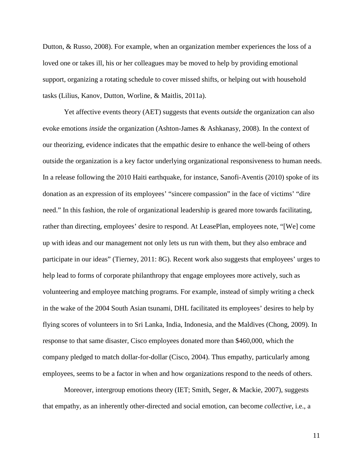Dutton, & Russo, 2008). For example, when an organization member experiences the loss of a loved one or takes ill, his or her colleagues may be moved to help by providing emotional support, organizing a rotating schedule to cover missed shifts, or helping out with household tasks (Lilius, Kanov, Dutton, Worline, & Maitlis, 2011a).

Yet affective events theory (AET) suggests that events *outside* the organization can also evoke emotions *inside* the organization (Ashton-James & Ashkanasy, 2008). In the context of our theorizing, evidence indicates that the empathic desire to enhance the well-being of others outside the organization is a key factor underlying organizational responsiveness to human needs. In a release following the 2010 Haiti earthquake, for instance, Sanofi-Aventis (2010) spoke of its donation as an expression of its employees' "sincere compassion" in the face of victims' "dire need." In this fashion, the role of organizational leadership is geared more towards facilitating, rather than directing, employees' desire to respond. At LeasePlan, employees note, "[We] come up with ideas and our management not only lets us run with them, but they also embrace and participate in our ideas" (Tierney, 2011: 8G). Recent work also suggests that employees' urges to help lead to forms of corporate philanthropy that engage employees more actively, such as volunteering and employee matching programs. For example, instead of simply writing a check in the wake of the 2004 South Asian tsunami, DHL facilitated its employees' desires to help by flying scores of volunteers in to Sri Lanka, India, Indonesia, and the Maldives (Chong, 2009). In response to that same disaster, Cisco employees donated more than \$460,000, which the company pledged to match dollar-for-dollar (Cisco, 2004). Thus empathy, particularly among employees, seems to be a factor in when and how organizations respond to the needs of others.

Moreover, intergroup emotions theory (IET; Smith, Seger, & Mackie, 2007), suggests that empathy, as an inherently other-directed and social emotion, can become *collective*, i.e., a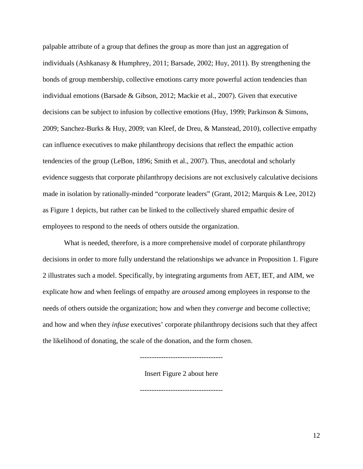palpable attribute of a group that defines the group as more than just an aggregation of individuals (Ashkanasy & Humphrey, 2011; Barsade, 2002; Huy, 2011). By strengthening the bonds of group membership, collective emotions carry more powerful action tendencies than individual emotions (Barsade & Gibson, 2012; Mackie et al., 2007). Given that executive decisions can be subject to infusion by collective emotions (Huy, 1999; Parkinson & Simons, 2009; Sanchez-Burks & Huy, 2009; van Kleef, de Dreu, & Manstead, 2010), collective empathy can influence executives to make philanthropy decisions that reflect the empathic action tendencies of the group (LeBon, 1896; Smith et al., 2007). Thus, anecdotal and scholarly evidence suggests that corporate philanthropy decisions are not exclusively calculative decisions made in isolation by rationally-minded "corporate leaders" (Grant, 2012; Marquis & Lee, 2012) as Figure 1 depicts, but rather can be linked to the collectively shared empathic desire of employees to respond to the needs of others outside the organization.

What is needed, therefore, is a more comprehensive model of corporate philanthropy decisions in order to more fully understand the relationships we advance in Proposition 1. Figure 2 illustrates such a model. Specifically, by integrating arguments from AET, IET, and AIM, we explicate how and when feelings of empathy are *aroused* among employees in response to the needs of others outside the organization; how and when they *converge* and become collective; and how and when they *infuse* executives' corporate philanthropy decisions such that they affect the likelihood of donating, the scale of the donation, and the form chosen.

Insert Figure 2 about here

-----------------------------------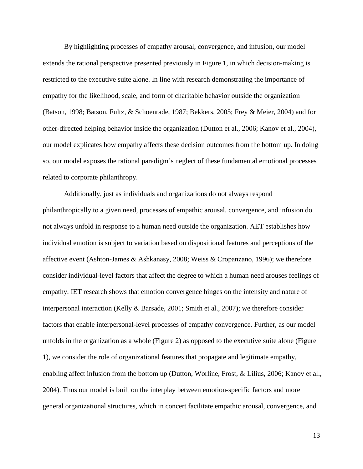By highlighting processes of empathy arousal, convergence, and infusion, our model extends the rational perspective presented previously in Figure 1, in which decision-making is restricted to the executive suite alone. In line with research demonstrating the importance of empathy for the likelihood, scale, and form of charitable behavior outside the organization (Batson, 1998; Batson, Fultz, & Schoenrade, 1987; Bekkers, 2005; Frey & Meier, 2004) and for other-directed helping behavior inside the organization (Dutton et al., 2006; Kanov et al., 2004), our model explicates how empathy affects these decision outcomes from the bottom up. In doing so, our model exposes the rational paradigm's neglect of these fundamental emotional processes related to corporate philanthropy.

Additionally, just as individuals and organizations do not always respond philanthropically to a given need, processes of empathic arousal, convergence, and infusion do not always unfold in response to a human need outside the organization. AET establishes how individual emotion is subject to variation based on dispositional features and perceptions of the affective event (Ashton-James & Ashkanasy, 2008; Weiss & Cropanzano, 1996); we therefore consider individual-level factors that affect the degree to which a human need arouses feelings of empathy. IET research shows that emotion convergence hinges on the intensity and nature of interpersonal interaction (Kelly & Barsade, 2001; Smith et al., 2007); we therefore consider factors that enable interpersonal-level processes of empathy convergence. Further, as our model unfolds in the organization as a whole (Figure 2) as opposed to the executive suite alone (Figure 1), we consider the role of organizational features that propagate and legitimate empathy, enabling affect infusion from the bottom up (Dutton, Worline, Frost, & Lilius, 2006; Kanov et al., 2004). Thus our model is built on the interplay between emotion-specific factors and more general organizational structures, which in concert facilitate empathic arousal, convergence, and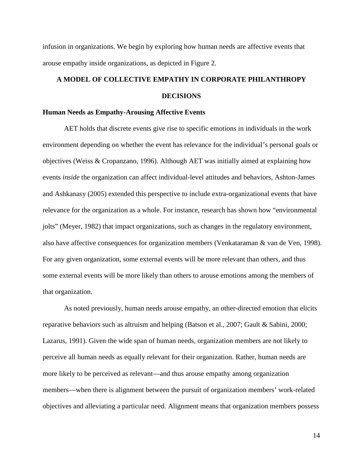infusion in organizations. We begin by exploring how human needs are affective events that arouse empathy inside organizations, as depicted in Figure 2.

# **A MODEL OF COLLECTIVE EMPATHY IN CORPORATE PHILANTHROPY DECISIONS**

#### **Human Needs as Empathy-Arousing Affective Events**

AET holds that discrete events give rise to specific emotions in individuals in the work environment depending on whether the event has relevance for the individual's personal goals or objectives (Weiss & Cropanzano, 1996). Although AET was initially aimed at explaining how events *inside* the organization can affect individual-level attitudes and behaviors, Ashton-James and Ashkanasy (2005) extended this perspective to include extra-organizational events that have relevance for the organization as a whole. For instance, research has shown how "environmental jolts" (Meyer, 1982) that impact organizations, such as changes in the regulatory environment, also have affective consequences for organization members (Venkataraman & van de Ven, 1998). For any given organization, some external events will be more relevant than others, and thus some external events will be more likely than others to arouse emotions among the members of that organization.

As noted previously, human needs arouse empathy, an other-directed emotion that elicits reparative behaviors such as altruism and helping (Batson et al., 2007; Gault & Sabini, 2000; Lazarus, 1991). Given the wide span of human needs, organization members are not likely to perceive all human needs as equally relevant for their organization. Rather, human needs are more likely to be perceived as relevant—and thus arouse empathy among organization members—when there is alignment between the pursuit of organization members' work-related objectives and alleviating a particular need. Alignment means that organization members possess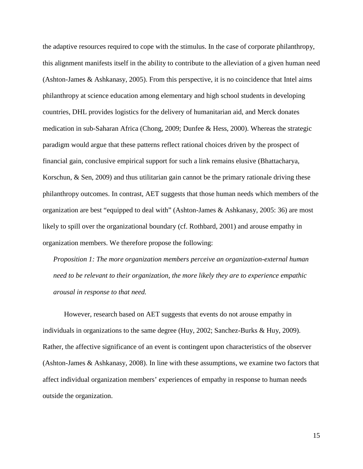the adaptive resources required to cope with the stimulus. In the case of corporate philanthropy, this alignment manifests itself in the ability to contribute to the alleviation of a given human need (Ashton-James & Ashkanasy, 2005). From this perspective, it is no coincidence that Intel aims philanthropy at science education among elementary and high school students in developing countries, DHL provides logistics for the delivery of humanitarian aid, and Merck donates medication in sub-Saharan Africa (Chong, 2009; Dunfee & Hess, 2000). Whereas the strategic paradigm would argue that these patterns reflect rational choices driven by the prospect of financial gain, conclusive empirical support for such a link remains elusive (Bhattacharya, Korschun, & Sen, 2009) and thus utilitarian gain cannot be the primary rationale driving these philanthropy outcomes. In contrast, AET suggests that those human needs which members of the organization are best "equipped to deal with" (Ashton-James & Ashkanasy, 2005: 36) are most likely to spill over the organizational boundary (cf. Rothbard, 2001) and arouse empathy in organization members. We therefore propose the following:

*Proposition 1: The more organization members perceive an organization-external human need to be relevant to their organization, the more likely they are to experience empathic arousal in response to that need.*

However, research based on AET suggests that events do not arouse empathy in individuals in organizations to the same degree (Huy, 2002; Sanchez-Burks & Huy, 2009). Rather, the affective significance of an event is contingent upon characteristics of the observer (Ashton-James & Ashkanasy, 2008). In line with these assumptions, we examine two factors that affect individual organization members' experiences of empathy in response to human needs outside the organization.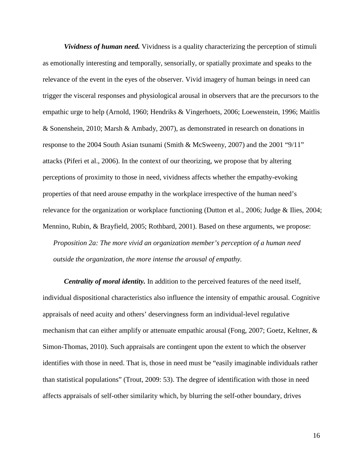*Vividness of human need.* Vividness is a quality characterizing the perception of stimuli as emotionally interesting and temporally, sensorially, or spatially proximate and speaks to the relevance of the event in the eyes of the observer. Vivid imagery of human beings in need can trigger the visceral responses and physiological arousal in observers that are the precursors to the empathic urge to help (Arnold, 1960; Hendriks & Vingerhoets, 2006; Loewenstein, 1996; Maitlis & Sonenshein, 2010; Marsh & Ambady, 2007), as demonstrated in research on donations in response to the 2004 South Asian tsunami (Smith & McSweeny, 2007) and the 2001 "9/11" attacks (Piferi et al., 2006). In the context of our theorizing, we propose that by altering perceptions of proximity to those in need, vividness affects whether the empathy-evoking properties of that need arouse empathy in the workplace irrespective of the human need's relevance for the organization or workplace functioning (Dutton et al., 2006; Judge & Ilies, 2004; Mennino, Rubin, & Brayfield, 2005; Rothbard, 2001). Based on these arguments, we propose: *Proposition 2a: The more vivid an organization member's perception of a human need*

*outside the organization, the more intense the arousal of empathy.*

*Centrality of moral identity.* In addition to the perceived features of the need itself, individual dispositional characteristics also influence the intensity of empathic arousal. Cognitive appraisals of need acuity and others' deservingness form an individual-level regulative mechanism that can either amplify or attenuate empathic arousal (Fong, 2007; Goetz, Keltner, & Simon-Thomas, 2010). Such appraisals are contingent upon the extent to which the observer identifies with those in need. That is, those in need must be "easily imaginable individuals rather than statistical populations" (Trout, 2009: 53). The degree of identification with those in need affects appraisals of self-other similarity which, by blurring the self-other boundary, drives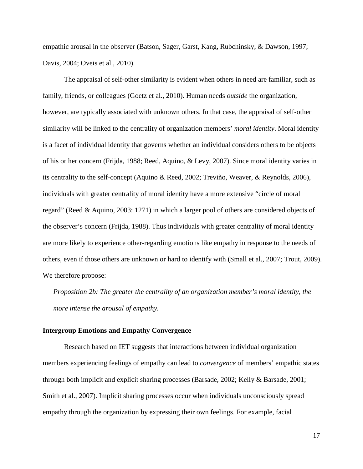empathic arousal in the observer (Batson, Sager, Garst, Kang, Rubchinsky, & Dawson, 1997; Davis, 2004; Oveis et al., 2010).

The appraisal of self-other similarity is evident when others in need are familiar, such as family, friends, or colleagues (Goetz et al., 2010). Human needs *outside* the organization, however, are typically associated with unknown others. In that case, the appraisal of self-other similarity will be linked to the centrality of organization members' *moral identity*. Moral identity is a facet of individual identity that governs whether an individual considers others to be objects of his or her concern (Frijda, 1988; Reed, Aquino, & Levy, [2007\)](http://www.jstor.org/stable/10.1086/588699#rf38). Since moral identity varies in its centrality to the self-concept (Aquino & Reed, 2002; Treviño, Weaver, & Reynolds, 2006), individuals with greater centrality of moral identity have a more extensive "circle of moral regard" (Reed & Aquino, 2003: 1271) in which a larger pool of others are considered objects of the observer's concern (Frijda, 1988). Thus individuals with greater centrality of moral identity are more likely to experience other-regarding emotions like empathy in response to the needs of others, even if those others are unknown or hard to identify with (Small et al., 2007; Trout, 2009). We therefore propose:

*Proposition 2b: The greater the centrality of an organization member's moral identity, the more intense the arousal of empathy.*

#### **Intergroup Emotions and Empathy Convergence**

Research based on IET suggests that interactions between individual organization members experiencing feelings of empathy can lead to *convergence* of members' empathic states through both implicit and explicit sharing processes (Barsade, 2002; Kelly & Barsade, 2001; Smith et al., 2007). Implicit sharing processes occur when individuals unconsciously spread empathy through the organization by expressing their own feelings. For example, facial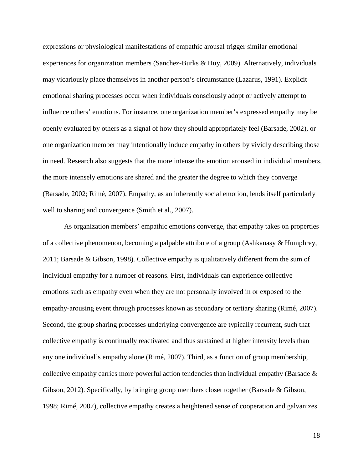expressions or physiological manifestations of empathic arousal trigger similar emotional experiences for organization members (Sanchez-Burks & Huy, 2009). Alternatively, individuals may vicariously place themselves in another person's circumstance (Lazarus, 1991). Explicit emotional sharing processes occur when individuals consciously adopt or actively attempt to influence others' emotions. For instance, one organization member's expressed empathy may be openly evaluated by others as a signal of how they should appropriately feel (Barsade, 2002), or one organization member may intentionally induce empathy in others by vividly describing those in need. Research also suggests that the more intense the emotion aroused in individual members, the more intensely emotions are shared and the greater the degree to which they converge (Barsade, 2002; Rimé, 2007). Empathy, as an inherently social emotion, lends itself particularly well to sharing and convergence (Smith et al., 2007).

As organization members' empathic emotions converge, that empathy takes on properties of a collective phenomenon, becoming a palpable attribute of a group (Ashkanasy & Humphrey, 2011; Barsade & Gibson, 1998). Collective empathy is qualitatively different from the sum of individual empathy for a number of reasons. First, individuals can experience collective emotions such as empathy even when they are not personally involved in or exposed to the empathy-arousing event through processes known as secondary or tertiary sharing (Rimé, 2007). Second, the group sharing processes underlying convergence are typically recurrent, such that collective empathy is continually reactivated and thus sustained at higher intensity levels than any one individual's empathy alone (Rimé, 2007). Third, as a function of group membership, collective empathy carries more powerful action tendencies than individual empathy (Barsade  $\&$ Gibson, 2012). Specifically, by bringing group members closer together (Barsade & Gibson, 1998; Rimé, 2007), collective empathy creates a heightened sense of cooperation and galvanizes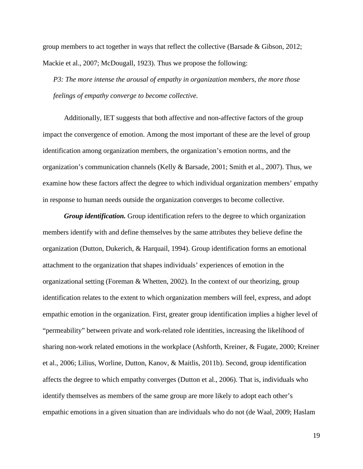group members to act together in ways that reflect the collective (Barsade & Gibson, 2012; Mackie et al., 2007; McDougall, 1923). Thus we propose the following:

*P3: The more intense the arousal of empathy in organization members, the more those feelings of empathy converge to become collective.*

Additionally, IET suggests that both affective and non-affective factors of the group impact the convergence of emotion. Among the most important of these are the level of group identification among organization members, the organization's emotion norms, and the organization's communication channels (Kelly & Barsade, 2001; Smith et al., 2007). Thus, we examine how these factors affect the degree to which individual organization members' empathy in response to human needs outside the organization converges to become collective.

*Group identification.* Group identification refers to the degree to which organization members identify with and define themselves by the same attributes they believe define the organization (Dutton, Dukerich, & Harquail, 1994). Group identification forms an emotional attachment to the organization that shapes individuals' experiences of emotion in the organizational setting (Foreman & Whetten, 2002). In the context of our theorizing, group identification relates to the extent to which organization members will feel, express, and adopt empathic emotion in the organization. First, greater group identification implies a higher level of "permeability" between private and work-related role identities, increasing the likelihood of sharing non-work related emotions in the workplace (Ashforth, Kreiner, & Fugate, 2000; Kreiner et al., 2006; Lilius, Worline, Dutton, Kanov, & Maitlis, 2011b). Second, group identification affects the degree to which empathy converges (Dutton et al., 2006). That is, individuals who identify themselves as members of the same group are more likely to adopt each other's empathic emotions in a given situation than are individuals who do not (de Waal, 2009; Haslam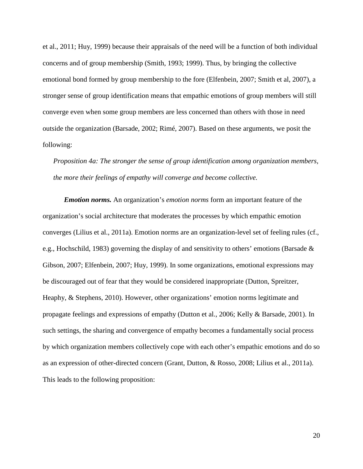et al., 2011; Huy, 1999) because their appraisals of the need will be a function of both individual concerns and of group membership (Smith, 1993; 1999). Thus, by bringing the collective emotional bond formed by group membership to the fore (Elfenbein, 2007; Smith et al, 2007), a stronger sense of group identification means that empathic emotions of group members will still converge even when some group members are less concerned than others with those in need outside the organization (Barsade, 2002; Rimé, 2007). Based on these arguments, we posit the following:

*Proposition 4a: The stronger the sense of group identification among organization members, the more their feelings of empathy will converge and become collective.*

*Emotion norms.* An organization's *emotion norms* form an important feature of the organization's social architecture that moderates the processes by which empathic emotion converges (Lilius et al., 2011a). Emotion norms are an organization-level set of feeling rules (cf., e.g., Hochschild, 1983) governing the display of and sensitivity to others' emotions (Barsade & Gibson, 2007; Elfenbein, 2007; Huy, 1999). In some organizations, emotional expressions may be discouraged out of fear that they would be considered inappropriate (Dutton, Spreitzer, Heaphy, & Stephens, 2010). However, other organizations' emotion norms legitimate and propagate feelings and expressions of empathy (Dutton et al., 2006; Kelly & Barsade, 2001). In such settings, the sharing and convergence of empathy becomes a fundamentally social process by which organization members collectively cope with each other's empathic emotions and do so as an expression of other-directed concern (Grant, Dutton, & Rosso, 2008; Lilius et al., 2011a). This leads to the following proposition: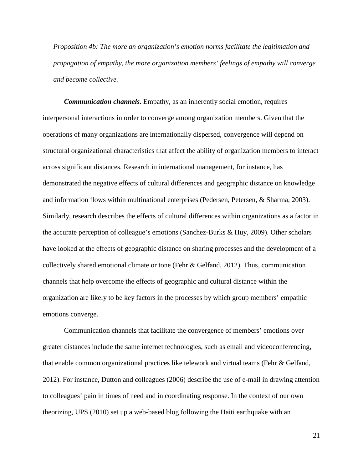*Proposition 4b: The more an organization's emotion norms facilitate the legitimation and propagation of empathy, the more organization members' feelings of empathy will converge and become collective.*

*Communication channels.* Empathy, as an inherently social emotion, requires interpersonal interactions in order to converge among organization members. Given that the operations of many organizations are internationally dispersed, convergence will depend on structural organizational characteristics that affect the ability of organization members to interact across significant distances. Research in international management, for instance, has demonstrated the negative effects of cultural differences and geographic distance on knowledge and information flows within multinational enterprises (Pedersen, Petersen, & Sharma, 2003). Similarly, research describes the effects of cultural differences within organizations as a factor in the accurate perception of colleague's emotions (Sanchez-Burks & Huy, 2009). Other scholars have looked at the effects of geographic distance on sharing processes and the development of a collectively shared emotional climate or tone (Fehr & Gelfand, 2012). Thus, communication channels that help overcome the effects of geographic and cultural distance within the organization are likely to be key factors in the processes by which group members' empathic emotions converge.

Communication channels that facilitate the convergence of members' emotions over greater distances include the same internet technologies, such as email and videoconferencing, that enable common organizational practices like telework and virtual teams (Fehr & Gelfand, 2012). For instance, Dutton and colleagues (2006) describe the use of e-mail in drawing attention to colleagues' pain in times of need and in coordinating response. In the context of our own theorizing, UPS (2010) set up a web-based blog following the Haiti earthquake with an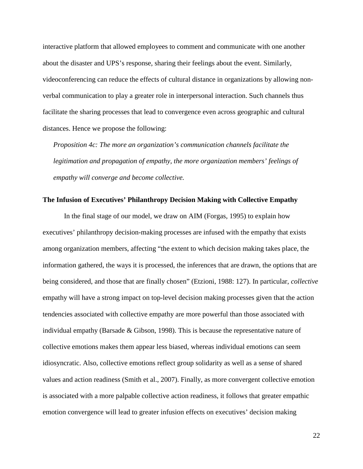interactive platform that allowed employees to comment and communicate with one another about the disaster and UPS's response, sharing their feelings about the event. Similarly, videoconferencing can reduce the effects of cultural distance in organizations by allowing nonverbal communication to play a greater role in interpersonal interaction. Such channels thus facilitate the sharing processes that lead to convergence even across geographic and cultural distances. Hence we propose the following:

*Proposition 4c: The more an organization's communication channels facilitate the legitimation and propagation of empathy, the more organization members' feelings of empathy will converge and become collective.*

#### **The Infusion of Executives' Philanthropy Decision Making with Collective Empathy**

In the final stage of our model, we draw on AIM (Forgas, 1995) to explain how executives' philanthropy decision-making processes are infused with the empathy that exists among organization members, affecting "the extent to which decision making takes place, the information gathered, the ways it is processed, the inferences that are drawn, the options that are being considered, and those that are finally chosen" (Etzioni, 1988: 127). In particular, *collective* empathy will have a strong impact on top-level decision making processes given that the action tendencies associated with collective empathy are more powerful than those associated with individual empathy (Barsade & Gibson, 1998). This is because the representative nature of collective emotions makes them appear less biased, whereas individual emotions can seem idiosyncratic. Also, collective emotions reflect group solidarity as well as a sense of shared values and action readiness (Smith et al., 2007). Finally, as more convergent collective emotion is associated with a more palpable collective action readiness, it follows that greater empathic emotion convergence will lead to greater infusion effects on executives' decision making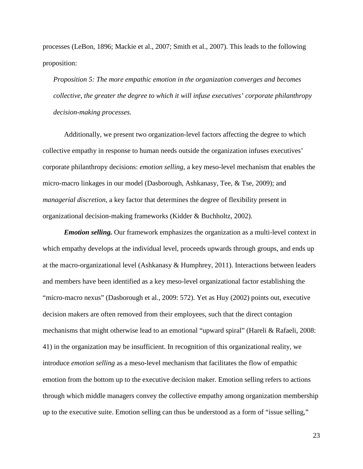processes (LeBon, 1896; Mackie et al., 2007; Smith et al., 2007). This leads to the following proposition:

*Proposition 5: The more empathic emotion in the organization converges and becomes collective, the greater the degree to which it will infuse executives' corporate philanthropy decision-making processes.*

Additionally, we present two organization-level factors affecting the degree to which collective empathy in response to human needs outside the organization infuses executives' corporate philanthropy decisions: *emotion selling*, a key meso-level mechanism that enables the micro-macro linkages in our model (Dasborough, Ashkanasy, Tee, & Tse, 2009); and *managerial discretion*, a key factor that determines the degree of flexibility present in organizational decision-making frameworks (Kidder & Buchholtz, 2002).

*Emotion selling.* Our framework emphasizes the organization as a multi-level context in which empathy develops at the individual level, proceeds upwards through groups, and ends up at the macro-organizational level (Ashkanasy & Humphrey, 2011). Interactions between leaders and members have been identified as a key meso-level organizational factor establishing the "micro-macro nexus" (Dasborough et al., 2009: 572). Yet as Huy (2002) points out, executive decision makers are often removed from their employees, such that the direct contagion mechanisms that might otherwise lead to an emotional "upward spiral" (Hareli & Rafaeli, 2008: 41) in the organization may be insufficient. In recognition of this organizational reality, we introduce *emotion selling* as a meso-level mechanism that facilitates the flow of empathic emotion from the bottom up to the executive decision maker. Emotion selling refers to actions through which middle managers convey the collective empathy among organization membership up to the executive suite. Emotion selling can thus be understood as a form of "issue selling,"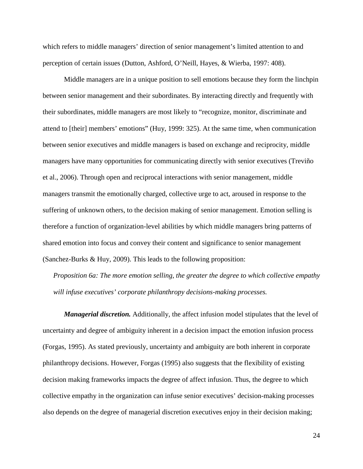which refers to middle managers' direction of senior management's limited attention to and perception of certain issues (Dutton, Ashford, O'Neill, Hayes, & Wierba, 1997: 408).

Middle managers are in a unique position to sell emotions because they form the linchpin between senior management and their subordinates. By interacting directly and frequently with their subordinates, middle managers are most likely to "recognize, monitor, discriminate and attend to [their] members' emotions" (Huy, 1999: 325). At the same time, when communication between senior executives and middle managers is based on exchange and reciprocity, middle managers have many opportunities for communicating directly with senior executives (Treviño et al., 2006). Through open and reciprocal interactions with senior management, middle managers transmit the emotionally charged, collective urge to act, aroused in response to the suffering of unknown others, to the decision making of senior management. Emotion selling is therefore a function of organization-level abilities by which middle managers bring patterns of shared emotion into focus and convey their content and significance to senior management (Sanchez-Burks & Huy, 2009). This leads to the following proposition:

*Proposition 6a: The more emotion selling, the greater the degree to which collective empathy will infuse executives' corporate philanthropy decisions-making processes.*

*Managerial discretion.* Additionally, the affect infusion model stipulates that the level of uncertainty and degree of ambiguity inherent in a decision impact the emotion infusion process (Forgas, 1995). As stated previously, uncertainty and ambiguity are both inherent in corporate philanthropy decisions. However, Forgas (1995) also suggests that the flexibility of existing decision making frameworks impacts the degree of affect infusion. Thus, the degree to which collective empathy in the organization can infuse senior executives' decision-making processes also depends on the degree of managerial discretion executives enjoy in their decision making;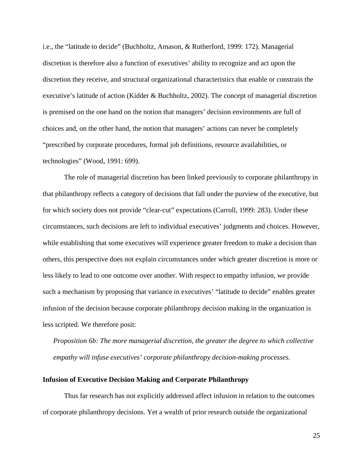i.e., the "latitude to decide" (Buchholtz, Amason, & Rutherford, 1999: 172). Managerial discretion is therefore also a function of executives' ability to recognize and act upon the discretion they receive, and structural organizational characteristics that enable or constrain the executive's latitude of action (Kidder & Buchholtz, 2002). The concept of managerial discretion is premised on the one hand on the notion that managers' decision environments are full of choices and, on the other hand, the notion that managers' actions can never be completely "prescribed by corporate procedures, formal job definitions, resource availabilities, or technologies" (Wood, 1991: 699).

The role of managerial discretion has been linked previously to corporate philanthropy in that philanthropy reflects a category of decisions that fall under the purview of the executive, but for which society does not provide "clear-cut" expectations (Carroll, 1999: 283). Under these circumstances, such decisions are left to individual executives' judgments and choices. However, while establishing that some executives will experience greater freedom to make a decision than others, this perspective does not explain circumstances under which greater discretion is more or less likely to lead to one outcome over another. With respect to empathy infusion, we provide such a mechanism by proposing that variance in executives' "latitude to decide" enables greater infusion of the decision because corporate philanthropy decision making in the organization is less scripted. We therefore posit:

*Proposition 6b: The more managerial discretion, the greater the degree to which collective empathy will infuse executives' corporate philanthropy decision-making processes.*

#### **Infusion of Executive Decision Making and Corporate Philanthropy**

Thus far research has not explicitly addressed affect infusion in relation to the outcomes of corporate philanthropy decisions. Yet a wealth of prior research outside the organizational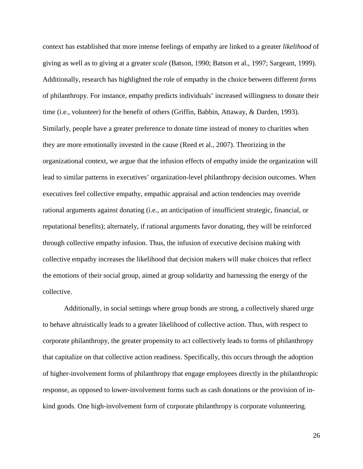context has established that more intense feelings of empathy are linked to a greater *likelihood* of giving as well as to giving at a greater *scale* (Batson, 1990; Batson et al., 1997; Sargeant, 1999). Additionally, research has highlighted the role of empathy in the choice between different *forms* of philanthropy. For instance, empathy predicts individuals' increased willingness to donate their time (i.e., volunteer) for the benefit of others (Griffin, Babbin, Attaway, & Darden, 1993). Similarly, people have a greater preference to donate time instead of money to charities when they are more emotionally invested in the cause (Reed et al., [2007\)](http://www.jstor.org/stable/10.1086/588699#rf38). Theorizing in the organizational context, we argue that the infusion effects of empathy inside the organization will lead to similar patterns in executives' organization-level philanthropy decision outcomes. When executives feel collective empathy, empathic appraisal and action tendencies may override rational arguments against donating (i.e., an anticipation of insufficient strategic, financial, or reputational benefits); alternately, if rational arguments favor donating, they will be reinforced through collective empathy infusion. Thus, the infusion of executive decision making with collective empathy increases the likelihood that decision makers will make choices that reflect the emotions of their social group, aimed at group solidarity and harnessing the energy of the collective.

Additionally, in social settings where group bonds are strong, a collectively shared urge to behave altruistically leads to a greater likelihood of collective action. Thus, with respect to corporate philanthropy, the greater propensity to act collectively leads to forms of philanthropy that capitalize on that collective action readiness. Specifically, this occurs through the adoption of higher-involvement forms of philanthropy that engage employees directly in the philanthropic response, as opposed to lower-involvement forms such as cash donations or the provision of inkind goods. One high-involvement form of corporate philanthropy is corporate volunteering.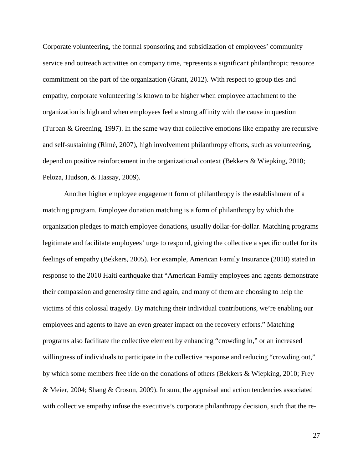Corporate volunteering, the formal sponsoring and subsidization of employees' community service and outreach activities on company time, represents a significant philanthropic resource commitment on the part of the organization (Grant, 2012). With respect to group ties and empathy, corporate volunteering is known to be higher when employee attachment to the organization is high and when employees feel a strong affinity with the cause in question (Turban & Greening, 1997). In the same way that collective emotions like empathy are recursive and self-sustaining (Rimé, 2007), high involvement philanthropy efforts, such as volunteering, depend on positive reinforcement in the organizational context (Bekkers & Wiepking, 2010; Peloza, Hudson, & Hassay, 2009).

Another higher employee engagement form of philanthropy is the establishment of a matching program. Employee donation matching is a form of philanthropy by which the organization pledges to match employee donations, usually dollar-for-dollar. Matching programs legitimate and facilitate employees' urge to respond, giving the collective a specific outlet for its feelings of empathy (Bekkers, 2005). For example, American Family Insurance (2010) stated in response to the 2010 Haiti earthquake that "American Family employees and agents demonstrate their compassion and generosity time and again, and many of them are choosing to help the victims of this colossal tragedy. By matching their individual contributions, we're enabling our employees and agents to have an even greater impact on the recovery efforts." Matching programs also facilitate the collective element by enhancing "crowding in," or an increased willingness of individuals to participate in the collective response and reducing "crowding out," by which some members free ride on the donations of others (Bekkers & Wiepking, 2010; Frey & Meier, 2004; Shang & Croson, 2009). In sum, the appraisal and action tendencies associated with collective empathy infuse the executive's corporate philanthropy decision, such that the re-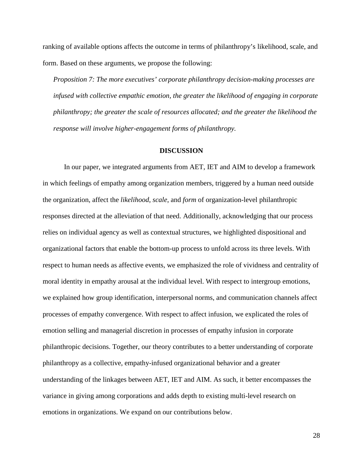ranking of available options affects the outcome in terms of philanthropy's likelihood, scale, and form. Based on these arguments, we propose the following:

*Proposition 7: The more executives' corporate philanthropy decision-making processes are infused with collective empathic emotion, the greater the likelihood of engaging in corporate philanthropy; the greater the scale of resources allocated; and the greater the likelihood the response will involve higher-engagement forms of philanthropy.*

#### **DISCUSSION**

In our paper, we integrated arguments from AET, IET and AIM to develop a framework in which feelings of empathy among organization members, triggered by a human need outside the organization, affect the *likelihood*, *scale*, and *form* of organization-level philanthropic responses directed at the alleviation of that need. Additionally, acknowledging that our process relies on individual agency as well as contextual structures, we highlighted dispositional and organizational factors that enable the bottom-up process to unfold across its three levels. With respect to human needs as affective events, we emphasized the role of vividness and centrality of moral identity in empathy arousal at the individual level. With respect to intergroup emotions, we explained how group identification, interpersonal norms, and communication channels affect processes of empathy convergence. With respect to affect infusion, we explicated the roles of emotion selling and managerial discretion in processes of empathy infusion in corporate philanthropic decisions. Together, our theory contributes to a better understanding of corporate philanthropy as a collective, empathy-infused organizational behavior and a greater understanding of the linkages between AET, IET and AIM. As such, it better encompasses the variance in giving among corporations and adds depth to existing multi-level research on emotions in organizations. We expand on our contributions below.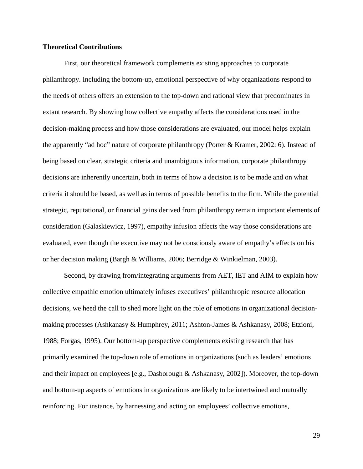#### **Theoretical Contributions**

First, our theoretical framework complements existing approaches to corporate philanthropy. Including the bottom-up, emotional perspective of why organizations respond to the needs of others offers an extension to the top-down and rational view that predominates in extant research. By showing how collective empathy affects the considerations used in the decision-making process and how those considerations are evaluated, our model helps explain the apparently "ad hoc" nature of corporate philanthropy (Porter & Kramer, 2002: 6). Instead of being based on clear, strategic criteria and unambiguous information, corporate philanthropy decisions are inherently uncertain, both in terms of how a decision is to be made and on what criteria it should be based, as well as in terms of possible benefits to the firm. While the potential strategic, reputational, or financial gains derived from philanthropy remain important elements of consideration (Galaskiewicz, 1997), empathy infusion affects the way those considerations are evaluated, even though the executive may not be consciously aware of empathy's effects on his or her decision making (Bargh & Williams, 2006; Berridge & Winkielman, 2003).

Second, by drawing from/integrating arguments from AET, IET and AIM to explain how collective empathic emotion ultimately infuses executives' philanthropic resource allocation decisions, we heed the call to shed more light on the role of emotions in organizational decisionmaking processes (Ashkanasy & Humphrey, 2011; Ashton-James & Ashkanasy, 2008; Etzioni, 1988; Forgas, 1995). Our bottom-up perspective complements existing research that has primarily examined the top-down role of emotions in organizations (such as leaders' emotions and their impact on employees [e.g., Dasborough & Ashkanasy, 2002]). Moreover, the top-down and bottom-up aspects of emotions in organizations are likely to be intertwined and mutually reinforcing. For instance, by harnessing and acting on employees' collective emotions,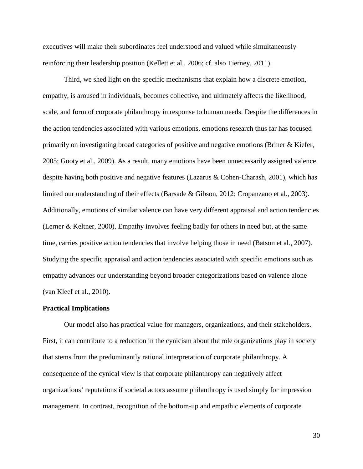executives will make their subordinates feel understood and valued while simultaneously reinforcing their leadership position (Kellett et al., 2006; cf. also Tierney, 2011).

Third, we shed light on the specific mechanisms that explain how a discrete emotion, empathy, is aroused in individuals, becomes collective, and ultimately affects the likelihood, scale, and form of corporate philanthropy in response to human needs. Despite the differences in the action tendencies associated with various emotions, emotions research thus far has focused primarily on investigating broad categories of positive and negative emotions (Briner & Kiefer, 2005; Gooty et al., 2009). As a result, many emotions have been unnecessarily assigned valence despite having both positive and negative features (Lazarus & Cohen-Charash, 2001), which has limited our understanding of their effects (Barsade & Gibson, 2012; Cropanzano et al., 2003). Additionally, emotions of similar valence can have very different appraisal and action tendencies (Lerner & Keltner, 2000). Empathy involves feeling badly for others in need but, at the same time, carries positive action tendencies that involve helping those in need (Batson et al., 2007). Studying the specific appraisal and action tendencies associated with specific emotions such as empathy advances our understanding beyond broader categorizations based on valence alone (van Kleef et al., 2010).

#### **Practical Implications**

Our model also has practical value for managers, organizations, and their stakeholders. First, it can contribute to a reduction in the cynicism about the role organizations play in society that stems from the predominantly rational interpretation of corporate philanthropy. A consequence of the cynical view is that corporate philanthropy can negatively affect organizations' reputations if societal actors assume philanthropy is used simply for impression management. In contrast, recognition of the bottom-up and empathic elements of corporate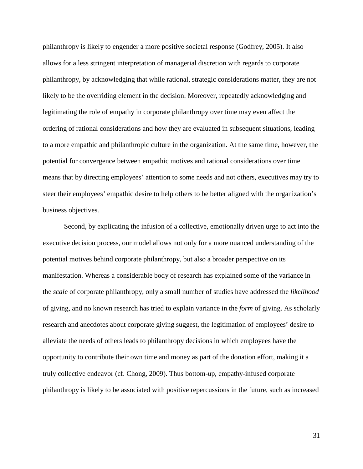philanthropy is likely to engender a more positive societal response (Godfrey, 2005). It also allows for a less stringent interpretation of managerial discretion with regards to corporate philanthropy, by acknowledging that while rational, strategic considerations matter, they are not likely to be the overriding element in the decision. Moreover, repeatedly acknowledging and legitimating the role of empathy in corporate philanthropy over time may even affect the ordering of rational considerations and how they are evaluated in subsequent situations, leading to a more empathic and philanthropic culture in the organization. At the same time, however, the potential for convergence between empathic motives and rational considerations over time means that by directing employees' attention to some needs and not others, executives may try to steer their employees' empathic desire to help others to be better aligned with the organization's business objectives.

Second, by explicating the infusion of a collective, emotionally driven urge to act into the executive decision process, our model allows not only for a more nuanced understanding of the potential motives behind corporate philanthropy, but also a broader perspective on its manifestation. Whereas a considerable body of research has explained some of the variance in the *scale* of corporate philanthropy, only a small number of studies have addressed the *likelihood* of giving, and no known research has tried to explain variance in the *form* of giving. As scholarly research and anecdotes about corporate giving suggest, the legitimation of employees' desire to alleviate the needs of others leads to philanthropy decisions in which employees have the opportunity to contribute their own time and money as part of the donation effort, making it a truly collective endeavor (cf. Chong, 2009). Thus bottom-up, empathy-infused corporate philanthropy is likely to be associated with positive repercussions in the future, such as increased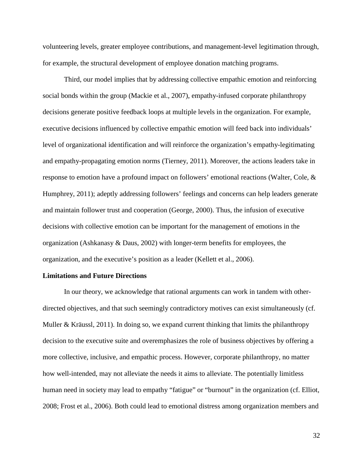volunteering levels, greater employee contributions, and management-level legitimation through, for example, the structural development of employee donation matching programs.

Third, our model implies that by addressing collective empathic emotion and reinforcing social bonds within the group (Mackie et al., 2007), empathy-infused corporate philanthropy decisions generate positive feedback loops at multiple levels in the organization. For example, executive decisions influenced by collective empathic emotion will feed back into individuals' level of organizational identification and will reinforce the organization's empathy-legitimating and empathy-propagating emotion norms (Tierney, 2011). Moreover, the actions leaders take in response to emotion have a profound impact on followers' emotional reactions (Walter, Cole, & Humphrey, 2011); adeptly addressing followers' feelings and concerns can help leaders generate and maintain follower trust and cooperation (George, 2000). Thus, the infusion of executive decisions with collective emotion can be important for the management of emotions in the organization (Ashkanasy & Daus, 2002) with longer-term benefits for employees, the organization, and the executive's position as a leader (Kellett et al., 2006).

#### **Limitations and Future Directions**

In our theory, we acknowledge that rational arguments can work in tandem with otherdirected objectives, and that such seemingly contradictory motives can exist simultaneously (cf. Muller & Kräussl, 2011). In doing so, we expand current thinking that limits the philanthropy decision to the executive suite and overemphasizes the role of business objectives by offering a more collective, inclusive, and empathic process. However, corporate philanthropy, no matter how well-intended, may not alleviate the needs it aims to alleviate. The potentially limitless human need in society may lead to empathy "fatigue" or "burnout" in the organization (cf. Elliot, 2008; Frost et al., 2006). Both could lead to emotional distress among organization members and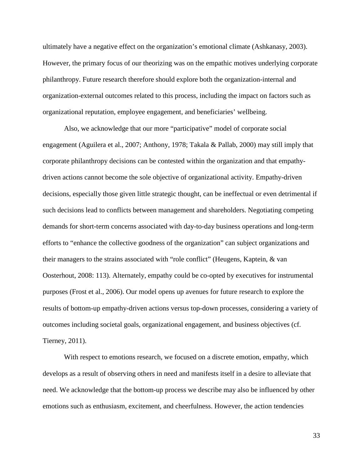ultimately have a negative effect on the organization's emotional climate (Ashkanasy, 2003). However, the primary focus of our theorizing was on the empathic motives underlying corporate philanthropy. Future research therefore should explore both the organization-internal and organization-external outcomes related to this process, including the impact on factors such as organizational reputation, employee engagement, and beneficiaries' wellbeing.

Also, we acknowledge that our more "participative" model of corporate social engagement (Aguilera et al., 2007; Anthony, 1978; Takala & Pallab, 2000) may still imply that corporate philanthropy decisions can be contested within the organization and that empathydriven actions cannot become the sole objective of organizational activity. Empathy-driven decisions, especially those given little strategic thought, can be ineffectual or even detrimental if such decisions lead to conflicts between management and shareholders. Negotiating competing demands for short-term concerns associated with day-to-day business operations and long-term efforts to "enhance the collective goodness of the organization" can subject organizations and their managers to the strains associated with "role conflict" (Heugens, Kaptein, & van Oosterhout, 2008: 113). Alternately, empathy could be co-opted by executives for instrumental purposes (Frost et al., 2006). Our model opens up avenues for future research to explore the results of bottom-up empathy-driven actions versus top-down processes, considering a variety of outcomes including societal goals, organizational engagement, and business objectives (cf. Tierney, 2011).

With respect to emotions research, we focused on a discrete emotion, empathy, which develops as a result of observing others in need and manifests itself in a desire to alleviate that need. We acknowledge that the bottom-up process we describe may also be influenced by other emotions such as enthusiasm, excitement, and cheerfulness. However, the action tendencies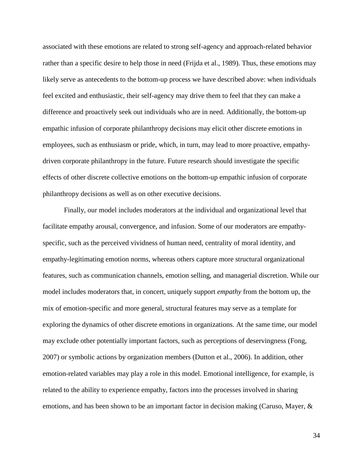associated with these emotions are related to strong self-agency and approach-related behavior rather than a specific desire to help those in need (Frijda et al., 1989). Thus, these emotions may likely serve as antecedents to the bottom-up process we have described above: when individuals feel excited and enthusiastic, their self-agency may drive them to feel that they can make a difference and proactively seek out individuals who are in need. Additionally, the bottom-up empathic infusion of corporate philanthropy decisions may elicit other discrete emotions in employees, such as enthusiasm or pride, which, in turn, may lead to more proactive, empathydriven corporate philanthropy in the future. Future research should investigate the specific effects of other discrete collective emotions on the bottom-up empathic infusion of corporate philanthropy decisions as well as on other executive decisions.

Finally, our model includes moderators at the individual and organizational level that facilitate empathy arousal, convergence, and infusion. Some of our moderators are empathyspecific, such as the perceived vividness of human need, centrality of moral identity, and empathy-legitimating emotion norms, whereas others capture more structural organizational features, such as communication channels, emotion selling, and managerial discretion. While our model includes moderators that, in concert, uniquely support *empathy* from the bottom up, the mix of emotion-specific and more general, structural features may serve as a template for exploring the dynamics of other discrete emotions in organizations. At the same time, our model may exclude other potentially important factors, such as perceptions of deservingness (Fong, 2007) or symbolic actions by organization members (Dutton et al., 2006). In addition, other emotion-related variables may play a role in this model. Emotional intelligence, for example, is related to the ability to experience empathy, factors into the processes involved in sharing emotions, and has been shown to be an important factor in decision making (Caruso, Mayer, &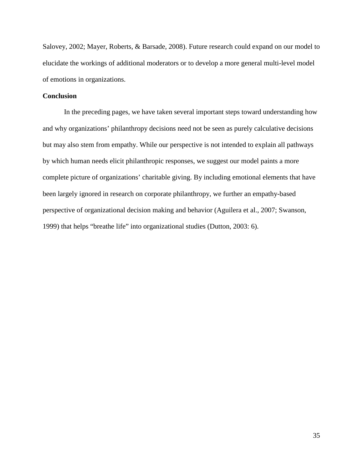Salovey, 2002; Mayer, Roberts, & Barsade, 2008). Future research could expand on our model to elucidate the workings of additional moderators or to develop a more general multi-level model of emotions in organizations.

### **Conclusion**

In the preceding pages, we have taken several important steps toward understanding how and why organizations' philanthropy decisions need not be seen as purely calculative decisions but may also stem from empathy. While our perspective is not intended to explain all pathways by which human needs elicit philanthropic responses, we suggest our model paints a more complete picture of organizations' charitable giving. By including emotional elements that have been largely ignored in research on corporate philanthropy, we further an empathy-based perspective of organizational decision making and behavior (Aguilera et al., 2007; Swanson, 1999) that helps "breathe life" into organizational studies (Dutton, 2003: 6).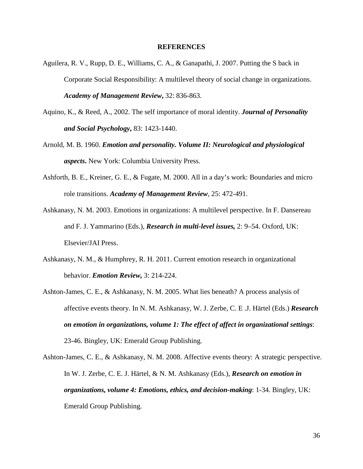#### **REFERENCES**

- Aguilera, R. V., Rupp, D. E., Williams, C. A., & Ganapathi, J. 2007. Putting the S back in Corporate Social Responsibility: A multilevel theory of social change in organizations. *Academy of Management Review***,** 32: 836-863.
- Aquino, K., & Reed, A., 2002. The self importance of moral identity. *Journal of Personality and Social Psychology***,** 83: 1423-1440.
- Arnold, M. B. 1960. *Emotion and personality. Volume II: Neurological and physiological aspects***.** New York: Columbia University Press.
- Ashforth, B. E., Kreiner, G. E., & Fugate, M. 2000. All in a day's work: Boundaries and micro role transitions. *Academy of Management Review*, 25: 472-491.
- Ashkanasy, N. M. 2003. Emotions in organizations: A multilevel perspective. In F. Dansereau and F. J. Yammarino (Eds.), *Research in multi-level issues,* 2: 9–54. Oxford, UK: Elsevier/JAI Press.
- Ashkanasy, N. M., & Humphrey, R. H. 2011. Current emotion research in organizational behavior. *Emotion Review,* 3: 214-224.
- Ashton-James, C. E., & Ashkanasy, N. M. 2005. What lies beneath? A process analysis of affective events theory. In N. M. Ashkanasy, W. J. Zerbe, C. E .J. Härtel (Eds.) *Research on emotion in organizations, volume 1: The effect of affect in organizational settings*: 23-46. Bingley, UK: Emerald Group Publishing.
- Ashton-James, C. E., & Ashkanasy, N. M. 2008. Affective events theory: A strategic perspective. In W. J. Zerbe, C. E. J. Härtel, & N. M. Ashkanasy (Eds.), *Research on emotion in organizations, volume 4: Emotions, ethics, and decision-making*: 1-34. Bingley, UK: Emerald Group Publishing.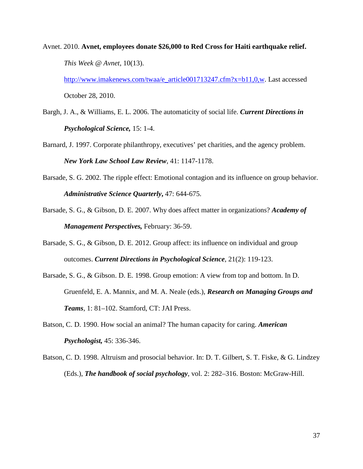Avnet. 2010. **Avnet, employees donate \$26,000 to Red Cross for Haiti earthquake relief.** *This Week @ Avnet*, 10(13).

[http://www.imakenews.com/twaa/e\\_article001713247.cfm?x=b11,0,w.](http://www.imakenews.com/twaa/e_article001713247.cfm?x=b11,0,w) Last accessed October 28, 2010.

- Bargh, J. A., & Williams, E. L. 2006. The automaticity of social life. *Current Directions in Psychological Science,* 15: 1-4.
- Barnard, J. 1997. Corporate philanthropy, executives' pet charities, and the agency problem. *New York Law School Law Review*, 41: 1147-1178.
- Barsade, S. G. 2002. The ripple effect: Emotional contagion and its influence on group behavior. *Administrative Science Quarterly***,** 47: 644-675.
- Barsade, S. G., & Gibson, D. E. 2007. Why does affect matter in organizations? *Academy of Management Perspectives,* February: 36-59.
- Barsade, S. G., & Gibson, D. E. 2012. Group affect: its influence on individual and group outcomes. *Current Directions in Psychological Science*, 21(2): 119-123.
- Barsade, S. G., & Gibson. D. E. 1998. Group emotion: A view from top and bottom. In D. Gruenfeld, E. A. Mannix, and M. A. Neale (eds.), *Research on Managing Groups and Teams*, 1: 81–102. Stamford, CT: JAI Press.
- Batson, C. D. 1990. How social an animal? The human capacity for caring. *American Psychologist,* 45: 336-346.
- Batson, C. D. 1998. Altruism and prosocial behavior. In: D. T. Gilbert, S. T. Fiske, & G. Lindzey (Eds.), *The handbook of social psychology*, vol. 2: 282–316. Boston: McGraw-Hill.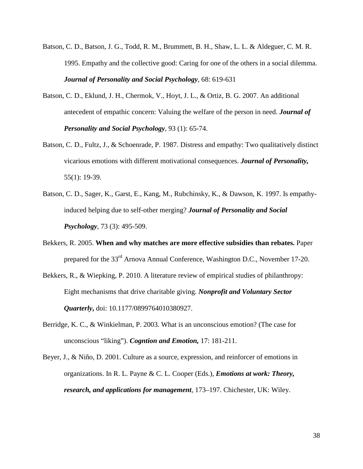- Batson, C. D., Batson, J. G., Todd, R. M., Brummett, B. H., Shaw, L. L. & Aldeguer, C. M. R. 1995. Empathy and the collective good: Caring for one of the others in a social dilemma. *Journal of Personality and Social Psychology*, 68: 619-631
- Batson, C. D., Eklund, J. H., Chermok, V., Hoyt, J. L., & Ortiz, B. G. 2007. An additional antecedent of empathic concern: Valuing the welfare of the person in need. *Journal of Personality and Social Psychology*, 93 (1): 65-74.
- Batson, C. D., Fultz, J., & Schoenrade, P. 1987. Distress and empathy: Two qualitatively distinct vicarious emotions with different motivational consequences. *Journal of Personality,* 55(1): 19-39.
- Batson, C. D., Sager, K., Garst, E., Kang, M., Rubchinsky, K., & Dawson, K. 1997. Is empathyinduced helping due to self-other merging? *Journal of Personality and Social Psychology*, 73 (3): 495-509.
- Bekkers, R. 2005. **When and why matches are more effective subsidies than rebates.** Paper prepared for the 33<sup>rd</sup> Arnova Annual Conference, Washington D.C., November 17-20.
- Bekkers, R., & Wiepking, P. 2010. A literature review of empirical studies of philanthropy: Eight mechanisms that drive charitable giving. *Nonprofit and Voluntary Sector Quarterly***,** doi: 10.1177/0899764010380927.
- Berridge, K. C., & Winkielman, P. 2003. What is an unconscious emotion? (The case for unconscious "liking"). *Cogntion and Emotion,* 17: 181-211.
- Beyer, J., & Niño, D. 2001. Culture as a source, expression, and reinforcer of emotions in organizations. In R. L. Payne & C. L. Cooper (Eds.), *Emotions at work: Theory, research, and applications for management*, 173–197. Chichester, UK: Wiley.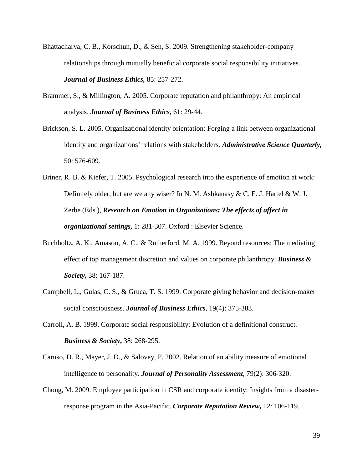- Bhattacharya, C. B., Korschun, D., & Sen, S. 2009. Strengthening stakeholder-company relationships through mutually beneficial corporate social responsibility initiatives. *Journal of Business Ethics,* 85: 257-272.
- Brammer, S., & Millington, A. 2005. Corporate reputation and philanthropy: An empirical analysis. *Journal of Business Ethics***,** 61: 29-44.
- Brickson, S. L. 2005. Organizational identity orientation: Forging a link between organizational identity and organizations' relations with stakeholders. *Administrative Science Quarterly,* 50: 576-609.
- Briner, R. B. & Kiefer, T. 2005. Psychological research into the experience of emotion at work: Definitely older, but are we any wiser? In N. M. Ashkanasy & C. E. J. Härtel & W. J. Zerbe (Eds.), *Research on Emotion in Organizations: The effects of affect in organizational settings,* 1: 281-307. Oxford : Elsevier Science.
- Buchholtz, A. K., Amason, A. C., & Rutherford, M. A. 1999. Beyond resources: The mediating effect of top management discretion and values on corporate philanthropy. *Business & Society,* 38: 167-187.
- Campbell, L., Gulas, C. S., & Gruca, T. S. 1999. Corporate giving behavior and decision-maker social consciousness. *Journal of Business Ethics*, 19(4): 375-383.
- Carroll, A. B. 1999. Corporate social responsibility: Evolution of a definitional construct. *Business & Society***,** 38: 268-295.
- Caruso, D. R., Mayer, J. D., & Salovey, P. 2002. Relation of an ability measure of emotional intelligence to personality. *Journal of Personality Assessment*, 79(2): 306-320.
- Chong, M. 2009. Employee participation in CSR and corporate identity: Insights from a disasterresponse program in the Asia-Pacific. *Corporate Reputation Review***,** 12: 106-119.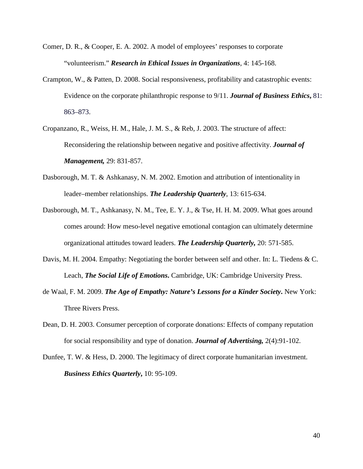- Comer, D. R., & Cooper, E. A. 2002. A model of employees' responses to corporate "volunteerism." *Research in Ethical Issues in Organizations*, 4: 145-168.
- Crampton, W., & Patten, D. 2008. Social responsiveness, profitability and catastrophic events: Evidence on the corporate philanthropic response to 9/11. *Journal of Business Ethics***,** 81: 863–873.
- Cropanzano, R., Weiss, H. M., Hale, J. M. S., & Reb, J. 2003. The structure of affect: Reconsidering the relationship between negative and positive affectivity. *Journal of Management,* 29: 831-857.
- Dasborough, M. T. & Ashkanasy, N. M. 2002. Emotion and attribution of intentionality in leader–member relationships. *The Leadership Quarterly*, 13: 615-634.
- Dasborough, M. T., Ashkanasy, N. M., Tee, E. Y. J., & Tse, H. H. M. 2009. What goes around comes around: How meso-level negative emotional contagion can ultimately determine organizational attitudes toward leaders. *The Leadership Quarterly,* 20: 571-585.
- Davis, M. H. 2004. Empathy: Negotiating the border between self and other. In: L. Tiedens & C. Leach, *The Social Life of Emotions***.** Cambridge, UK: Cambridge University Press.
- de Waal, F. M. 2009. *The Age of Empathy: Nature's Lessons for a Kinder Society***.** New York: Three Rivers Press.
- Dean, D. H. 2003. Consumer perception of corporate donations: Effects of company reputation for social responsibility and type of donation. *Journal of Advertising,* 2(4):91-102.
- Dunfee, T. W. & Hess, D. 2000. The legitimacy of direct corporate humanitarian investment. *Business Ethics Quarterly***,** 10: 95-109.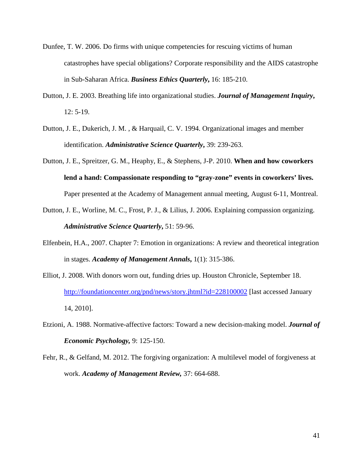- Dunfee, T. W. 2006. Do firms with unique competencies for rescuing victims of human catastrophes have special obligations? Corporate responsibility and the AIDS catastrophe in Sub-Saharan Africa. *Business Ethics Quarterly***,** 16: 185-210.
- Dutton, J. E. 2003. Breathing life into organizational studies. *Journal of Management Inquiry***,** 12: 5-19.
- Dutton, J. E., Dukerich, J. M. , & Harquail, C. V. 1994. Organizational images and member identification. *Administrative Science Quarterly***,** 39: 239-263.
- Dutton, J. E., Spreitzer, G. M., Heaphy, E., & Stephens, J-P. 2010. **When and how coworkers lend a hand: Compassionate responding to "gray-zone" events in coworkers' lives.**  Paper presented at the Academy of Management annual meeting, August 6-11, Montreal.
- Dutton, J. E., Worline, M. C., Frost, P. J., & Lilius, J. 2006. Explaining compassion organizing. *Administrative Science Quarterly***,** 51: 59-96.
- Elfenbein, H.A., 2007. Chapter 7: Emotion in organizations: A review and theoretical integration in stages. *Academy of Management Annals***,** 1(1): 315-386.
- Elliot, J. 2008. With donors worn out, funding dries up. Houston Chronicle, September 18. <http://foundationcenter.org/pnd/news/story.jhtml?id=228100002> [last accessed January 14, 2010].
- Etzioni, A. 1988. Normative-affective factors: Toward a new decision-making model. *Journal of Economic Psychology,* 9: 125-150.
- Fehr, R., & Gelfand, M. 2012. The forgiving organization: A multilevel model of forgiveness at work. *Academy of Management Review,* 37: 664-688.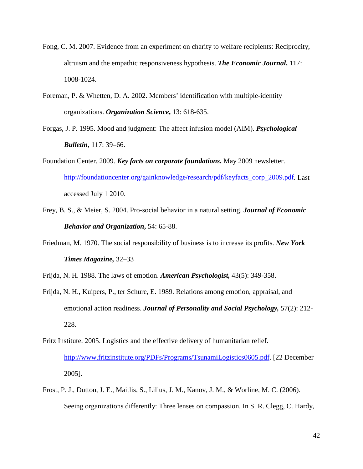- Fong, C. M. 2007. Evidence from an experiment on charity to welfare recipients: Reciprocity, altruism and the empathic responsiveness hypothesis. *The Economic Journal***,** 117: 1008-1024.
- Foreman, P. & Whetten, D. A. 2002. Members' identification with multiple-identity organizations. *Organization Science***,** 13: 618-635.
- Forgas, J. P. 1995. Mood and judgment: The affect infusion model (AIM). *Psychological Bulletin*, 117: 39–66.
- Foundation Center. 2009. *Key facts on corporate foundations***.** May 2009 newsletter. [http://foundationcenter.org/gainknowledge/research/pdf/keyfacts\\_corp\\_2009.pdf.](http://foundationcenter.org/gainknowledge/research/pdf/keyfacts_corp_2009.pdf) Last accessed July 1 2010.
- Frey, B. S., & Meier, S. 2004. Pro-social behavior in a natural setting. *Journal of Economic Behavior and Organization***,** 54: 65-88.
- Friedman, M. 1970. The social responsibility of business is to increase its profits. *New York Times Magazine,* 32–33
- Frijda, N. H. 1988. The laws of emotion. *American Psychologist,* 43(5): 349-358.
- Frijda, N. H., Kuipers, P., ter Schure, E. 1989. Relations among emotion, appraisal, and emotional action readiness. *Journal of Personality and Social Psychology,* 57(2): 212- 228.
- Fritz Institute. 2005. Logistics and the effective delivery of humanitarian relief. [http://www.fritzinstitute.org/PDFs/Programs/TsunamiLogistics0605.pdf.](http://www.fritzinstitute.org/PDFs/Programs/TsunamiLogistics0605.pdf) [22 December 2005].
- Frost, P. J., Dutton, J. E., Maitlis, S., Lilius, J. M., Kanov, J. M., & Worline, M. C. (2006). Seeing organizations differently: Three lenses on compassion. In S. R. Clegg, C. Hardy,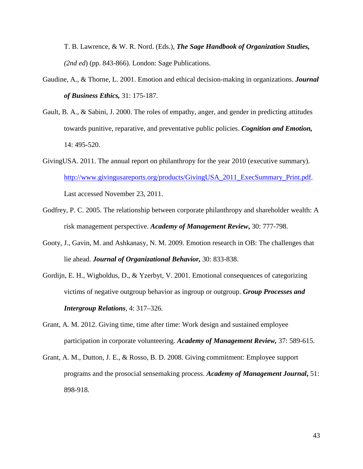T. B. Lawrence, & W. R. Nord. (Eds.), *The Sage Handbook of Organization Studies, (2nd ed*) (pp. 843-866). London: Sage Publications.

- Gaudine, A., & Thorne, L. 2001. Emotion and ethical decision-making in organizations. *Journal of Business Ethics,* 31: 175-187.
- Gault, B. A., & Sabini, J. 2000. The roles of empathy, anger, and gender in predicting attitudes towards punitive, reparative, and preventative public policies. *Cognition and Emotion,* 14: 495-520.
- GivingUSA. 2011. The annual report on philanthropy for the year 2010 (executive summary). [http://www.givingusareports.org/products/GivingUSA\\_2011\\_ExecSummary\\_Print.pdf.](http://www.givingusareports.org/products/GivingUSA_2011_ExecSummary_Print.pdf) Last accessed November 23, 2011.
- Godfrey, P. C. 2005. The relationship between corporate philanthropy and shareholder wealth: A risk management perspective. *Academy of Management Review***,** 30: 777-798.
- Gooty, J., Gavin, M. and Ashkanasy, N. M. 2009. Emotion research in OB: The challenges that lie ahead. *Journal of Organizational Behavior,* 30: 833-838.
- Gordijn, E. H., Wigboldus, D., & Yzerbyt, V. 2001. Emotional consequences of categorizing victims of negative outgroup behavior as ingroup or outgroup. *Group Processes and Intergroup Relations*, 4: 317–326.
- Grant, A. M. 2012. Giving time, time after time: Work design and sustained employee participation in corporate volunteering. *Academy of Management Review,* 37: 589-615.
- Grant, A. M., Dutton, J. E., & Rosso, B. D. 2008. Giving commitment: Employee support programs and the prosocial sensemaking process. *Academy of Management Journal***,** 51: 898-918.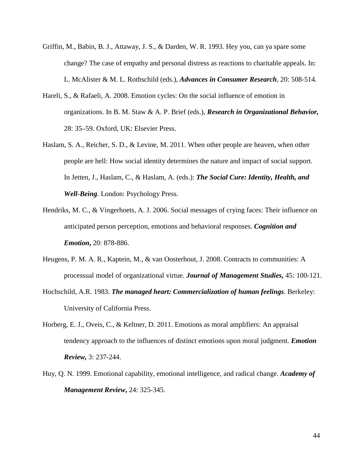- Griffin, M., Babin, B. J., Attaway, J. S., & Darden, W. R. 1993. Hey you, can ya spare some change? The case of empathy and personal distress as reactions to charitable appeals. In: L. McAlister & M. L. Rothschild (eds.), *Advances in Consumer Research*, 20: 508-514.
- Hareli, S., & Rafaeli, A. 2008. Emotion cycles: On the social influence of emotion in organizations. In B. M. Staw & A. P. Brief (eds.), *Research in Organizational Behavior,* 28: 35–59. Oxford, UK: Elsevier Press.
- Haslam, S. A., Reicher, S. D., & Levine, M. 2011. When other people are heaven, when other people are hell: How social identity determines the nature and impact of social support. In Jetten, J., Haslam, C., & Haslam, A. (eds.): *The Social Cure: Identity, Health, and Well-Being*. London: Psychology Press.
- Hendriks, M. C., & Vingerhoets, A. J. 2006. Social messages of crying faces: Their influence on anticipated person perception, emotions and behavioral responses. *Cognition and Emotion***,** 20: 878-886.
- Heugens, P. M. A. R., Kaptein, M., & van Oosterhout, J. 2008. Contracts to communities: A processual model of organizational virtue. *Journal of Management Studies***,** 45: 100-121.
- Hochschild, A.R. 1983. *The managed heart: Commercialization of human feelings*. Berkeley: University of California Press.
- Horberg, E. J., Oveis, C., & Keltner, D. 2011. Emotions as moral amplifiers: An appraisal tendency approach to the influences of distinct emotions upon moral judgment. *Emotion Review,* 3: 237-244.
- Huy, Q. N. 1999. Emotional capability, emotional intelligence, and radical change. *Academy of Management Review***,** 24: 325-345.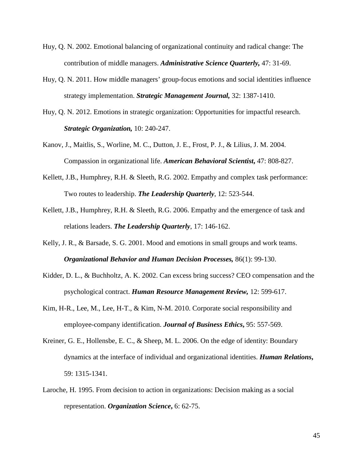- Huy, Q. N. 2002. Emotional balancing of organizational continuity and radical change: The contribution of middle managers. *Administrative Science Quarterly,* 47: 31-69.
- Huy, Q. N. 2011. How middle managers' group-focus emotions and social identities influence strategy implementation. *Strategic Management Journal,* 32: 1387-1410.
- Huy, Q. N. 2012. Emotions in strategic organization: Opportunities for impactful research. *Strategic Organization,* 10: 240-247.
- Kanov, J., Maitlis, S., Worline, M. C., Dutton, J. E., Frost, P. J., & Lilius, J. M. 2004. Compassion in organizational life. *American Behavioral Scientist***,** 47: 808-827.
- Kellett, J.B., Humphrey, R.H. & Sleeth, R.G. 2002. Empathy and complex task performance: Two routes to leadership. *The Leadership Quarterly*, 12: 523-544.
- Kellett, J.B., Humphrey, R.H. & Sleeth, R.G. 2006. Empathy and the emergence of task and relations leaders. *The Leadership Quarterly*, 17: 146-162.
- Kelly, J. R., & Barsade, S. G. 2001. Mood and emotions in small groups and work teams. *Organizational Behavior and Human Decision Processes,* 86(1): 99-130.
- Kidder, D. L., & Buchholtz, A. K. 2002. Can excess bring success? CEO compensation and the psychological contract. *Human Resource Management Review,* 12: 599-617.
- Kim, H-R., Lee, M., Lee, H-T., & Kim, N-M. 2010. Corporate social responsibility and employee-company identification. *Journal of Business Ethics***,** 95: 557-569.
- Kreiner, G. E., Hollensbe, E. C., & Sheep, M. L. 2006. On the edge of identity: Boundary dynamics at the interface of individual and organizational identities. *Human Relations***,** 59: 1315-1341.
- Laroche, H. 1995. From decision to action in organizations: Decision making as a social representation. *Organization Science***,** 6: 62-75.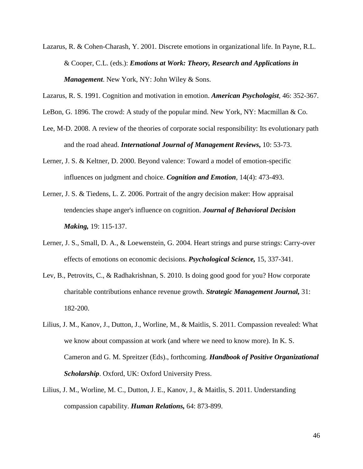- Lazarus, R. & Cohen-Charash, Y. 2001. Discrete emotions in organizational life. In Payne, R.L. & Cooper, C.L. (eds.): *Emotions at Work: Theory, Research and Applications in Management*. New York, NY: John Wiley & Sons.
- Lazarus, R. S. 1991. Cognition and motivation in emotion. *American Psychologist*, 46: 352-367.
- LeBon, G. 1896. The crowd: A study of the popular mind. New York, NY: Macmillan & Co.
- Lee, M-D. 2008. A review of the theories of corporate social responsibility: Its evolutionary path and the road ahead. *International Journal of Management Reviews***,** 10: 53-73.
- Lerner, J. S. & Keltner, D. 2000. Beyond valence: Toward a model of emotion-specific influences on judgment and choice. *Cognition and Emotion*, 14(4): 473-493.
- Lerner, J. S. & Tiedens, L. Z. 2006. Portrait of the angry decision maker: How appraisal tendencies shape anger's influence on cognition. *Journal of Behavioral Decision Making,* 19: 115-137.
- Lerner, J. S., Small, D. A., & Loewenstein, G. 2004. Heart strings and purse strings: Carry-over effects of emotions on economic decisions. *Psychological Science,* 15, 337-341.
- Lev, B., Petrovits, C., & Radhakrishnan, S. 2010. Is doing good good for you? How corporate charitable contributions enhance revenue growth. *Strategic Management Journal,* 31: 182-200.
- Lilius, J. M., Kanov, J., Dutton, J., Worline, M., & Maitlis, S. 2011. Compassion revealed: What we know about compassion at work (and where we need to know more). In K. S. Cameron and G. M. Spreitzer (Eds)., forthcoming. *Handbook of Positive Organizational Scholarship*. Oxford, UK: Oxford University Press.
- Lilius, J. M., Worline, M. C., Dutton, J. E., Kanov, J., & Maitlis, S. 2011. Understanding compassion capability. *Human Relations,* 64: 873-899.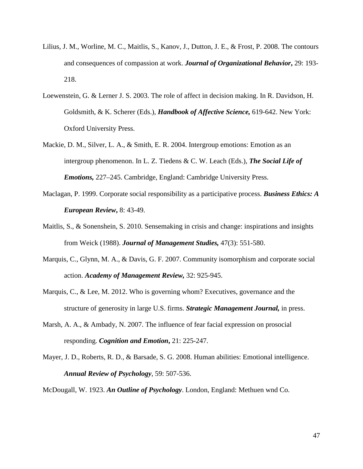- Lilius, J. M., Worline, M. C., Maitlis, S., Kanov, J., Dutton, J. E., & Frost, P. 2008. The contours and consequences of compassion at work. *Journal of Organizational Behavior***,** 29: 193- 218.
- Loewenstein, G. & Lerner J. S. 2003. The role of affect in decision making. In R. Davidson, H. Goldsmith, & K. Scherer (Eds.), *Handbook of Affective Science,* 619-642. New York: Oxford University Press.
- Mackie, D. M., Silver, L. A., & Smith, E. R. 2004. Intergroup emotions: Emotion as an intergroup phenomenon. In L. Z. Tiedens & C. W. Leach (Eds.), *The Social Life of Emotions,* 227–245. Cambridge, England: Cambridge University Press.
- Maclagan, P. 1999. Corporate social responsibility as a participative process. *Business Ethics: A European Review***,** 8: 43-49.
- Maitlis, S., & Sonenshein, S. 2010. Sensemaking in crisis and change: inspirations and insights from Weick (1988). *Journal of Management Studies,* 47(3): 551-580.
- Marquis, C., Glynn, M. A., & Davis, G. F. 2007. Community isomorphism and corporate social action. *Academy of Management Review,* 32: 925-945.
- Marquis, C., & Lee, M. 2012. Who is governing whom? Executives, governance and the structure of generosity in large U.S. firms. *Strategic Management Journal,* in press.
- Marsh, A. A., & Ambady, N. 2007. The influence of fear facial expression on prosocial responding. *Cognition and Emotion***,** 21: 225-247.
- Mayer, J. D., Roberts, R. D., & Barsade, S. G. 2008. Human abilities: Emotional intelligence. *Annual Review of Psychology*, 59: 507-536.

McDougall, W. 1923. *An Outline of Psychology*. London, England: Methuen wnd Co.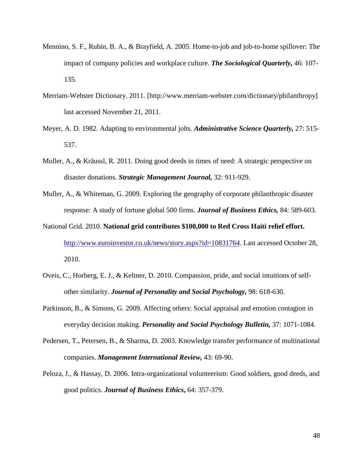- Mennino, S. F., Rubin, B. A., & Brayfield, A. 2005. Home-to-job and job-to-home spillover: The impact of company policies and workplace culture. *The Sociological Quarterly,* 46: 107- 135.
- Merriam-Webster Dictionary. 2011. [http://www.merriam-webster.com/dictionary/philanthropy] last accessed November 21, 2011.
- Meyer, A. D. 1982. Adapting to environmental jolts. *Administrative Science Quarterly,* 27: 515- 537.
- Muller, A., & Kräussl, R. 2011. Doing good deeds in times of need: A strategic perspective on disaster donations. *Strategic Management Journal,* 32: 911-929.
- Muller, A., & Whiteman, G. 2009. Exploring the geography of corporate philanthropic disaster response: A study of fortune global 500 firms. *Journal of Business Ethics,* 84: 589-603.
- National Grid. 2010. **National grid contributes \$100,000 to Red Cross Haiti relief effort.** [http://www.euroinvestor.co.uk/news/story.aspx?id=10831764.](http://www.euroinvestor.co.uk/news/story.aspx?id=10831764) Last accessed October 28, 2010.
- Oveis, C., Horberg, E. J., & Keltner, D. 2010. Compassion, pride, and social intuitions of selfother similarity. *Journal of Personality and Social Psychology,* 98: 618-630.
- Parkinson, B., & Simons, G. 2009. Affecting others: Social appraisal and emotion contagion in everyday decision making. *Personality and Social Psychology Bulletin,* 37: 1071-1084.
- Pedersen, T., Petersen, B., & Sharma, D. 2003. Knowledge transfer performance of multinational companies. *Management International Review,* 43: 69-90.
- Peloza, J., & Hassay, D. 2006. Intra-organizational volunteerism: Good soldiers, good deeds, and good politics. *Journal of Business Ethics***,** 64: 357-379.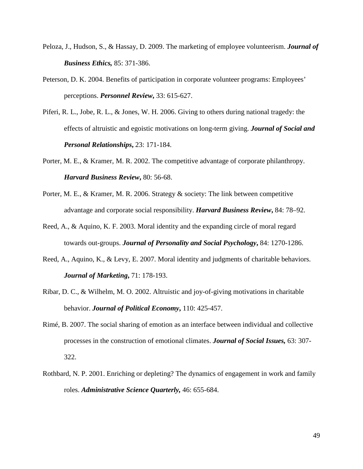- Peloza, J., Hudson, S., & Hassay, D. 2009. The marketing of employee volunteerism. *Journal of Business Ethics,* 85: 371-386.
- Peterson, D. K. 2004. Benefits of participation in corporate volunteer programs: Employees' perceptions. *Personnel Review***,** 33: 615-627.
- Piferi, R. L., Jobe, R. L., & Jones, W. H. 2006. Giving to others during national tragedy: the effects of altruistic and egoistic motivations on long-term giving. *Journal of Social and Personal Relationships***,** 23: 171-184.
- Porter, M. E., & Kramer, M. R. 2002. The competitive advantage of corporate philanthropy. *Harvard Business Review***,** 80: 56-68.
- Porter, M. E., & Kramer, M. R. 2006. Strategy & society: The link between competitive advantage and corporate social responsibility. *Harvard Business Review***,** 84: 78–92.
- Reed, A., & Aquino, K. F. 2003. Moral identity and the expanding circle of moral regard towards out-groups. *Journal of Personality and Social Psychology***,** 84: 1270-1286.
- Reed, A., Aquino, K., & Levy, E. 2007. Moral identity and judgments of charitable behaviors. *Journal of Marketing***,** 71: 178-193.
- Ribar, D. C., & Wilhelm, M. O. 2002. Altruistic and joy-of-giving motivations in charitable behavior. *Journal of Political Economy***,** 110: 425-457.
- Rimé, B. 2007. The social sharing of emotion as an interface between individual and collective processes in the construction of emotional climates. *Journal of Social Issues,* 63: 307- 322.
- Rothbard, N. P. 2001. Enriching or depleting? The dynamics of engagement in work and family roles. *Administrative Science Quarterly,* 46: 655-684.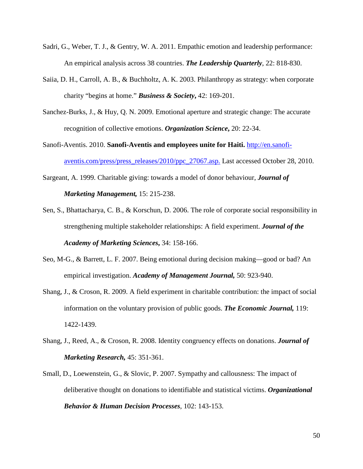- Sadri, G., Weber, T. J., & Gentry, W. A. 2011. Empathic emotion and leadership performance: An empirical analysis across 38 countries. *The Leadership Quarterly*, 22: 818-830.
- Saiia, D. H., Carroll, A. B., & Buchholtz, A. K. 2003. Philanthropy as strategy: when corporate charity "begins at home." *Business & Society***,** 42: 169-201.
- Sanchez-Burks, J., & Huy, Q. N. 2009. Emotional aperture and strategic change: The accurate recognition of collective emotions. *Organization Science***,** 20: 22-34.
- Sanofi-Aventis. 2010. **Sanofi-Aventis and employees unite for Haiti.** [http://en.sanofi](http://en.sanofi-aventis.com/press/press_releases/2010/ppc_27067.asp)[aventis.com/press/press\\_releases/2010/ppc\\_27067.asp.](http://en.sanofi-aventis.com/press/press_releases/2010/ppc_27067.asp) Last accessed October 28, 2010.
- Sargeant, A. 1999. Charitable giving: towards a model of donor behaviour, *Journal of Marketing Management,* 15: 215-238.
- Sen, S., Bhattacharya, C. B., & Korschun, D. 2006. The role of corporate social responsibility in strengthening multiple stakeholder relationships: A field experiment. *Journal of the Academy of Marketing Sciences***,** 34: 158-166.
- Seo, M-G., & Barrett, L. F. 2007. Being emotional during decision making—good or bad? An empirical investigation. *Academy of Management Journal,* 50: 923-940.
- Shang, J., & Croson, R. 2009. A field experiment in charitable contribution: the impact of social information on the voluntary provision of public goods. *The Economic Journal,* 119: 1422-1439.
- Shang, J., Reed, A., & Croson, R. 2008. Identity congruency effects on donations. *Journal of Marketing Research,* 45: 351-361.
- Small, D., Loewenstein, G., & Slovic, P. 2007. Sympathy and callousness: The impact of deliberative thought on donations to identifiable and statistical victims. *Organizational Behavior & Human Decision Processes*, 102: 143-153.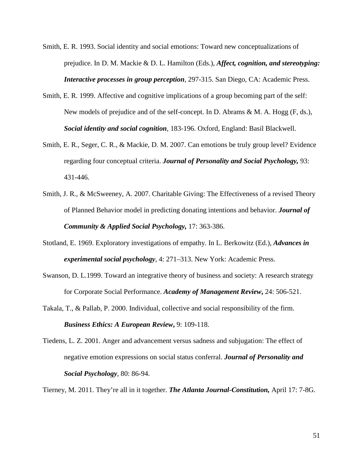- Smith, E. R. 1993. Social identity and social emotions: Toward new conceptualizations of prejudice. In D. M. Mackie & D. L. Hamilton (Eds.), *Affect, cognition, and stereotyping: Interactive processes in group perception*, 297-315. San Diego, CA: Academic Press.
- Smith, E. R. 1999. Affective and cognitive implications of a group becoming part of the self: New models of prejudice and of the self-concept. In D. Abrams & M. A. Hogg (F, ds.), *Social identity and social cognition*, 183-196. Oxford, England: Basil Blackwell.
- Smith, E. R., Seger, C. R., & Mackie, D. M. 2007. Can emotions be truly group level? Evidence regarding four conceptual criteria. *Journal of Personality and Social Psychology,* 93: 431-446.
- Smith, J. R., & McSweeney, A. 2007. Charitable Giving: The Effectiveness of a revised Theory of Planned Behavior model in predicting donating intentions and behavior. *Journal of Community & Applied Social Psychology,* 17: 363-386.
- Stotland, E. 1969. Exploratory investigations of empathy. In L. Berkowitz (Ed.), *Advances in experimental social psychology*, 4: 271–313. New York: Academic Press.
- Swanson, D. L.1999. Toward an integrative theory of business and society: A research strategy for Corporate Social Performance. *Academy of Management Review***,** 24: 506-521.
- Takala, T., & Pallab, P. 2000. Individual, collective and social responsibility of the firm. *Business Ethics: A European Review***,** 9: 109-118.
- Tiedens, L. Z. 2001. Anger and advancement versus sadness and subjugation: The effect of negative emotion expressions on social status conferral. *Journal of Personality and Social Psychology*, 80: 86-94.

Tierney, M. 2011. They're all in it together. *The Atlanta Journal-Constitution,* April 17: 7-8G.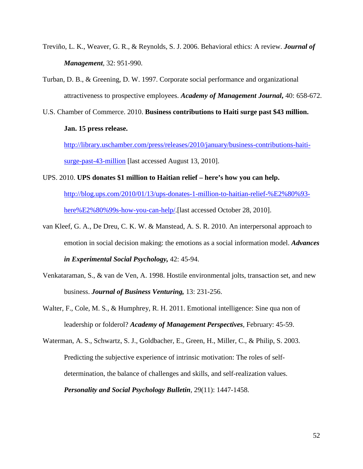- Treviño, L. K., Weaver, G. R., & Reynolds, S. J. 2006. Behavioral ethics: A review. *Journal of Management*, 32: 951-990.
- Turban, D. B., & Greening, D. W. 1997. Corporate social performance and organizational attractiveness to prospective employees. *Academy of Management Journal***,** 40: 658-672.
- U.S. Chamber of Commerce. 2010. **Business contributions to Haiti surge past \$43 million.**

## **Jan. 15 press release.**

[http://library.uschamber.com/press/releases/2010/january/business-contributions-haiti](http://library.uschamber.com/press/releases/2010/january/business-contributions-haiti-surge-past-43-million)[surge-past-43-million](http://library.uschamber.com/press/releases/2010/january/business-contributions-haiti-surge-past-43-million) [last accessed August 13, 2010].

UPS. 2010. **UPS donates \$1 million to Haitian relief – here's how you can help.**

[http://blog.ups.com/2010/01/13/ups-donates-1-million-to-haitian-relief-%E2%80%93](http://blog.ups.com/2010/01/13/ups-donates-1-million-to-haitian-relief-%E2%80%93-here%E2%80%99s-how-you-can-help/) [here%E2%80%99s-how-you-can-help/.](http://blog.ups.com/2010/01/13/ups-donates-1-million-to-haitian-relief-%E2%80%93-here%E2%80%99s-how-you-can-help/)[last accessed October 28, 2010].

- van Kleef, G. A., De Dreu, C. K. W. & Manstead, A. S. R. 2010. An interpersonal approach to emotion in social decision making: the emotions as a social information model. *Advances in Experimental Social Psychology,* 42: 45-94.
- Venkataraman, S., & van de Ven, A. 1998. Hostile environmental jolts, transaction set, and new business. *Journal of Business Venturing,* 13: 231-256.
- Walter, F., Cole, M. S., & Humphrey, R. H. 2011. Emotional intelligence: Sine qua non of leadership or folderol? *Academy of Management Perspectives*, February: 45-59.

Waterman, A. S., Schwartz, S. J., Goldbacher, E., Green, H., Miller, C., & Philip, S. 2003. Predicting the subjective experience of intrinsic motivation: The roles of selfdetermination, the balance of challenges and skills, and self-realization values. *Personality and Social Psychology Bulletin*, 29(11): 1447-1458.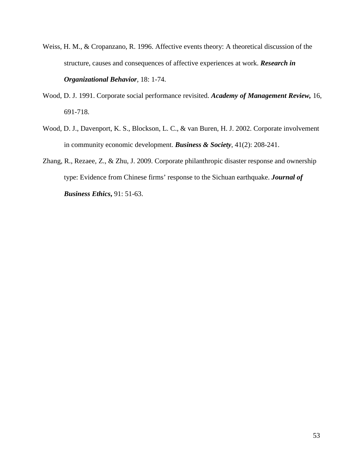- Weiss, H. M., & Cropanzano, R. 1996. Affective events theory: A theoretical discussion of the structure, causes and consequences of affective experiences at work. *Research in Organizational Behavior,* 18: 1-74.
- Wood, D. J. 1991. Corporate social performance revisited. *Academy of Management Review,* 16, 691-718.
- Wood, D. J., Davenport, K. S., Blockson, L. C., & van Buren, H. J. 2002. Corporate involvement in community economic development. *Business & Society*, 41(2): 208-241.
- Zhang, R., Rezaee, Z., & Zhu, J. 2009. Corporate philanthropic disaster response and ownership type: Evidence from Chinese firms' response to the Sichuan earthquake. *Journal of Business Ethics***,** 91: 51-63.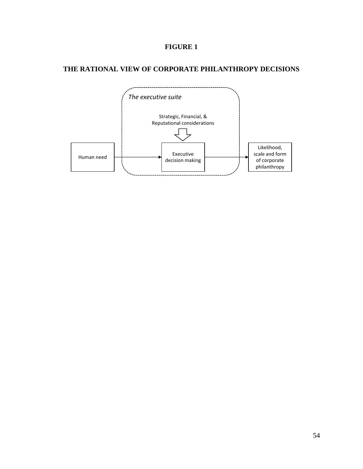# **FIGURE 1**

# **THE RATIONAL VIEW OF CORPORATE PHILANTHROPY DECISIONS**

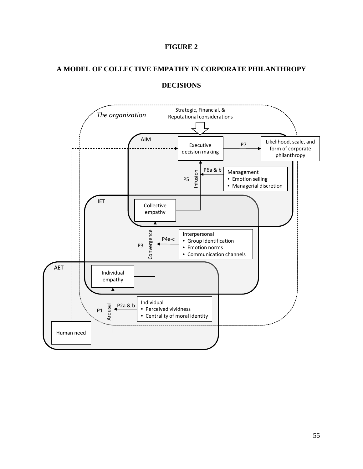

## **A MODEL OF COLLECTIVE EMPATHY IN CORPORATE PHILANTHROPY**



## **DECISIONS**